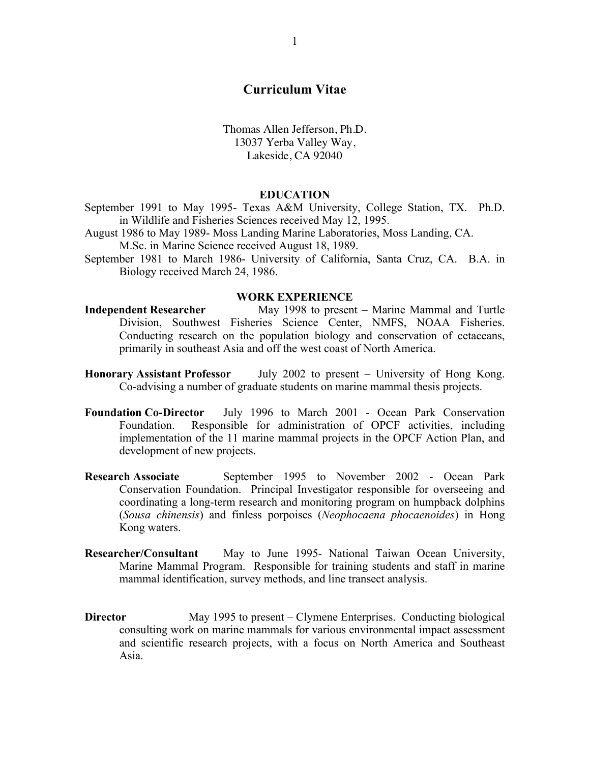# **Curriculum Vitae**

Thomas Allen Jefferson, Ph.D. 13037 Yerba Valley Way, Lakeside, CA 92040

#### **EDUCATION**

September 1991 to May 1995- Texas A&M University, College Station, TX. Ph.D. in Wildlife and Fisheries Sciences received May 12, 1995.

August 1986 to May 1989- Moss Landing Marine Laboratories, Moss Landing, CA. M.Sc. in Marine Science received August 18, 1989.

September 1981 to March 1986- University of California, Santa Cruz, CA. B.A. in Biology received March 24, 1986.

#### **WORK EXPERIENCE**

- **Independent Researcher** May 1998 to present Marine Mammal and Turtle Division, Southwest Fisheries Science Center, NMFS, NOAA Fisheries. Conducting research on the population biology and conservation of cetaceans, primarily in southeast Asia and off the west coast of North America.
- **Honorary Assistant Professor** July 2002 to present University of Hong Kong. Co-advising a number of graduate students on marine mammal thesis projects.
- **Foundation Co-Director** July 1996 to March 2001 Ocean Park Conservation Foundation. Responsible for administration of OPCF activities, including implementation of the 11 marine mammal projects in the OPCF Action Plan, and development of new projects.
- **Research Associate** September 1995 to November 2002 Ocean Park Conservation Foundation. Principal Investigator responsible for overseeing and coordinating a long-term research and monitoring program on humpback dolphins (*Sousa chinensis*) and finless porpoises (*Neophocaena phocaenoides*) in Hong Kong waters.
- **Researcher/Consultant** May to June 1995- National Taiwan Ocean University, Marine Mammal Program. Responsible for training students and staff in marine mammal identification, survey methods, and line transect analysis.
- **Director** May 1995 to present Clymene Enterprises. Conducting biological consulting work on marine mammals for various environmental impact assessment and scientific research projects, with a focus on North America and Southeast Asia.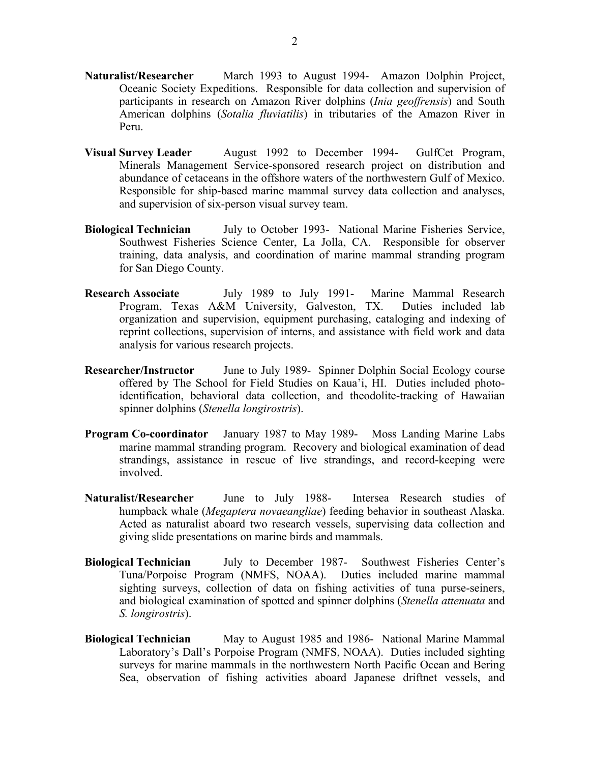- **Naturalist/Researcher** March 1993 to August 1994- Amazon Dolphin Project, Oceanic Society Expeditions. Responsible for data collection and supervision of participants in research on Amazon River dolphins (*Inia geoffrensis*) and South American dolphins (*Sotalia fluviatilis*) in tributaries of the Amazon River in Peru.
- **Visual Survey Leader** August 1992 to December 1994- GulfCet Program, Minerals Management Service-sponsored research project on distribution and abundance of cetaceans in the offshore waters of the northwestern Gulf of Mexico. Responsible for ship-based marine mammal survey data collection and analyses, and supervision of six-person visual survey team.
- **Biological Technician** July to October 1993- National Marine Fisheries Service, Southwest Fisheries Science Center, La Jolla, CA. Responsible for observer training, data analysis, and coordination of marine mammal stranding program for San Diego County.
- **Research Associate** July 1989 to July 1991- Marine Mammal Research Program, Texas A&M University, Galveston, TX. Duties included lab organization and supervision, equipment purchasing, cataloging and indexing of reprint collections, supervision of interns, and assistance with field work and data analysis for various research projects.
- **Researcher/Instructor** June to July 1989- Spinner Dolphin Social Ecology course offered by The School for Field Studies on Kaua'i, HI. Duties included photoidentification, behavioral data collection, and theodolite-tracking of Hawaiian spinner dolphins (*Stenella longirostris*).
- **Program Co-coordinator** January 1987 to May 1989- Moss Landing Marine Labs marine mammal stranding program. Recovery and biological examination of dead strandings, assistance in rescue of live strandings, and record-keeping were involved.
- **Naturalist/Researcher** June to July 1988- Intersea Research studies of humpback whale (*Megaptera novaeangliae*) feeding behavior in southeast Alaska. Acted as naturalist aboard two research vessels, supervising data collection and giving slide presentations on marine birds and mammals.
- **Biological Technician** July to December 1987- Southwest Fisheries Center's Tuna/Porpoise Program (NMFS, NOAA). Duties included marine mammal sighting surveys, collection of data on fishing activities of tuna purse-seiners, and biological examination of spotted and spinner dolphins (*Stenella attenuata* and *S. longirostris*).
- **Biological Technician** May to August 1985 and 1986- National Marine Mammal Laboratory's Dall's Porpoise Program (NMFS, NOAA). Duties included sighting surveys for marine mammals in the northwestern North Pacific Ocean and Bering Sea, observation of fishing activities aboard Japanese driftnet vessels, and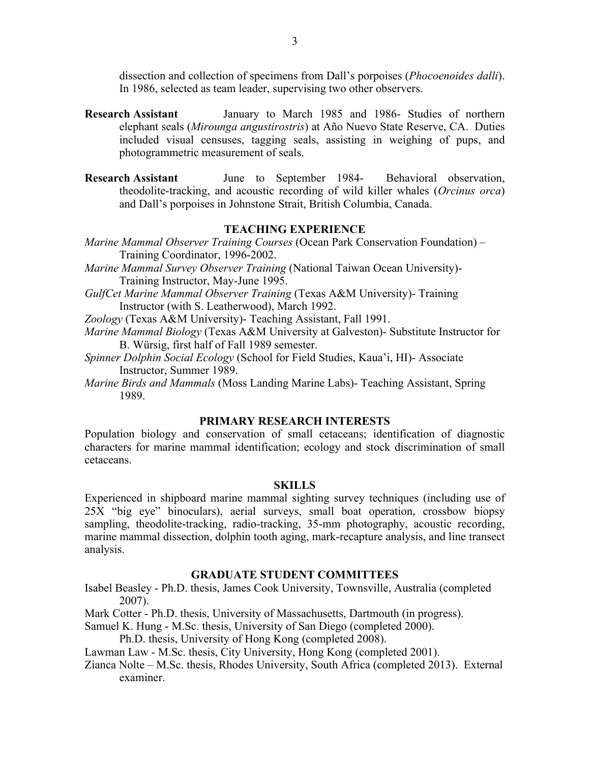dissection and collection of specimens from Dall's porpoises (*Phocoenoides dalli*). In 1986, selected as team leader, supervising two other observers.

- **Research Assistant** January to March 1985 and 1986- Studies of northern elephant seals (*Mirounga angustirostris*) at Año Nuevo State Reserve, CA. Duties included visual censuses, tagging seals, assisting in weighing of pups, and photogrammetric measurement of seals.
- **Research Assistant** June to September 1984- Behavioral observation, theodolite-tracking, and acoustic recording of wild killer whales (*Orcinus orca*) and Dall's porpoises in Johnstone Strait, British Columbia, Canada.

# **TEACHING EXPERIENCE**

- *Marine Mammal Observer Training Courses* (Ocean Park Conservation Foundation) Training Coordinator, 1996-2002.
- *Marine Mammal Survey Observer Training* (National Taiwan Ocean University)- Training Instructor, May-June 1995.
- *GulfCet Marine Mammal Observer Training* (Texas A&M University)- Training Instructor (with S. Leatherwood), March 1992.
- *Zoology* (Texas A&M University)- Teaching Assistant, Fall 1991.
- *Marine Mammal Biology* (Texas A&M University at Galveston)- Substitute Instructor for B. Würsig, first half of Fall 1989 semester.
- *Spinner Dolphin Social Ecology* (School for Field Studies, Kaua'i, HI)- Associate Instructor, Summer 1989.
- *Marine Birds and Mammals* (Moss Landing Marine Labs)- Teaching Assistant, Spring 1989.

## **PRIMARY RESEARCH INTERESTS**

Population biology and conservation of small cetaceans; identification of diagnostic characters for marine mammal identification; ecology and stock discrimination of small cetaceans.

### **SKILLS**

Experienced in shipboard marine mammal sighting survey techniques (including use of 25X "big eye" binoculars), aerial surveys, small boat operation, crossbow biopsy sampling, theodolite-tracking, radio-tracking, 35-mm photography, acoustic recording, marine mammal dissection, dolphin tooth aging, mark-recapture analysis, and line transect analysis.

# **GRADUATE STUDENT COMMITTEES**

Isabel Beasley - Ph.D. thesis, James Cook University, Townsville, Australia (completed 2007).

Mark Cotter - Ph.D. thesis, University of Massachusetts, Dartmouth (in progress).

Samuel K. Hung - M.Sc. thesis, University of San Diego (completed 2000).

Ph.D. thesis, University of Hong Kong (completed 2008).

Lawman Law - M.Sc. thesis, City University, Hong Kong (completed 2001).

Zianca Nolte – M.Sc. thesis, Rhodes University, South Africa (completed 2013). External examiner.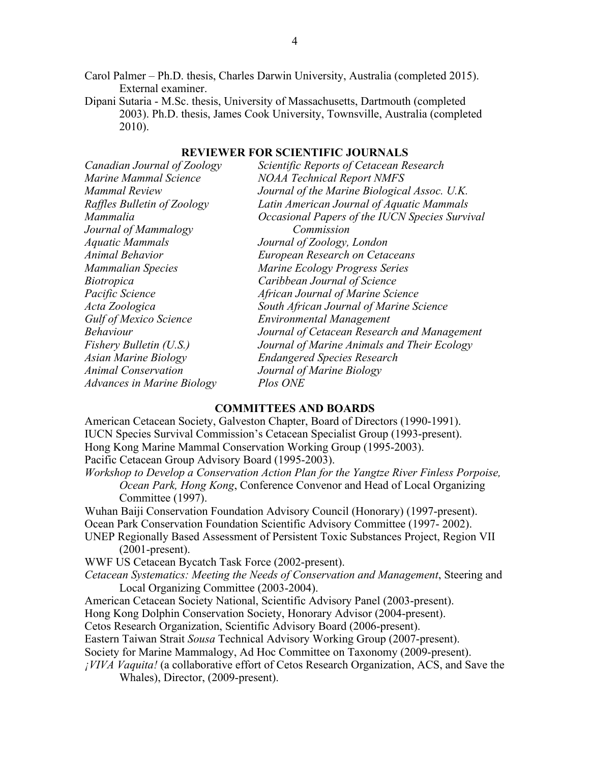Carol Palmer – Ph.D. thesis, Charles Darwin University, Australia (completed 2015). External examiner.

Dipani Sutaria - M.Sc. thesis, University of Massachusetts, Dartmouth (completed 2003). Ph.D. thesis, James Cook University, Townsville, Australia (completed 2010).

| Canadian Journal of Zoology   | Scientific Reports of Cetacean Research        |
|-------------------------------|------------------------------------------------|
| Marine Mammal Science         | <b>NOAA Technical Report NMFS</b>              |
| <b>Mammal Review</b>          | Journal of the Marine Biological Assoc. U.K.   |
| Raffles Bulletin of Zoology   | Latin American Journal of Aquatic Mammals      |
| Mammalia                      | Occasional Papers of the IUCN Species Survival |
| Journal of Mammalogy          | Commission                                     |
| <b>Aquatic Mammals</b>        | Journal of Zoology, London                     |
| <b>Animal Behavior</b>        | <b>European Research on Cetaceans</b>          |
| <b>Mammalian Species</b>      | Marine Ecology Progress Series                 |
| <i>Biotropica</i>             | Caribbean Journal of Science                   |
| Pacific Science               | African Journal of Marine Science              |
| Acta Zoologica                | South African Journal of Marine Science        |
| <b>Gulf of Mexico Science</b> | <b>Environmental Management</b>                |
| <b>Behaviour</b>              | Journal of Cetacean Research and Management    |
| Fishery Bulletin (U.S.)       | Journal of Marine Animals and Their Ecology    |
| <b>Asian Marine Biology</b>   | <b>Endangered Species Research</b>             |
| <b>Animal Conservation</b>    | Journal of Marine Biology                      |
| Advances in Marine Biology    | Plos ONE                                       |

# **REVIEWER FOR SCIENTIFIC JOURNALS**

## **COMMITTEES AND BOARDS**

American Cetacean Society, Galveston Chapter, Board of Directors (1990-1991). IUCN Species Survival Commission's Cetacean Specialist Group (1993-present). Hong Kong Marine Mammal Conservation Working Group (1995-2003). Pacific Cetacean Group Advisory Board (1995-2003).

*Workshop to Develop a Conservation Action Plan for the Yangtze River Finless Porpoise, Ocean Park, Hong Kong*, Conference Convenor and Head of Local Organizing Committee (1997).

Wuhan Baiji Conservation Foundation Advisory Council (Honorary) (1997-present).

Ocean Park Conservation Foundation Scientific Advisory Committee (1997- 2002).

UNEP Regionally Based Assessment of Persistent Toxic Substances Project, Region VII (2001-present).

WWF US Cetacean Bycatch Task Force (2002-present).

*Cetacean Systematics: Meeting the Needs of Conservation and Management*, Steering and Local Organizing Committee (2003-2004).

American Cetacean Society National, Scientific Advisory Panel (2003-present).

Hong Kong Dolphin Conservation Society, Honorary Advisor (2004-present).

Cetos Research Organization, Scientific Advisory Board (2006-present).

Eastern Taiwan Strait *Sousa* Technical Advisory Working Group (2007-present).

Society for Marine Mammalogy, Ad Hoc Committee on Taxonomy (2009-present).

*¡VIVA Vaquita!* (a collaborative effort of Cetos Research Organization, ACS, and Save the Whales), Director, (2009-present).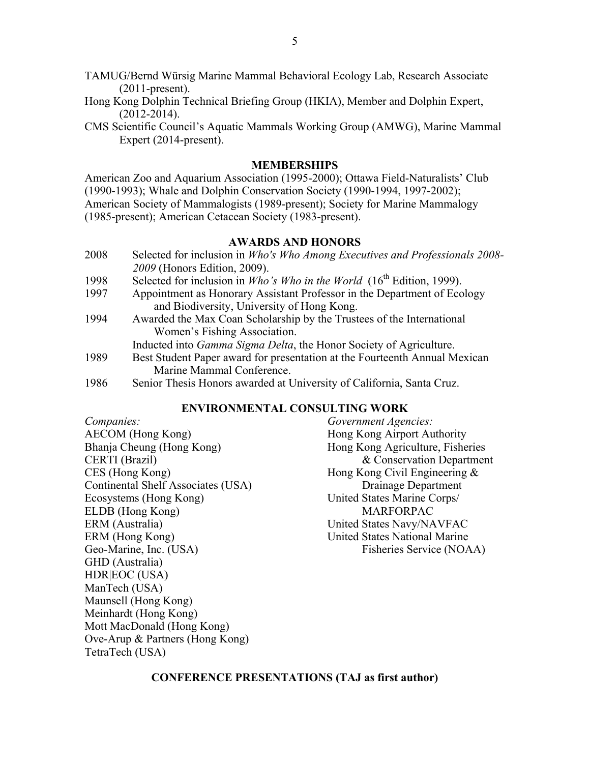- TAMUG/Bernd Würsig Marine Mammal Behavioral Ecology Lab, Research Associate (2011-present).
- Hong Kong Dolphin Technical Briefing Group (HKIA), Member and Dolphin Expert, (2012-2014).
- CMS Scientific Council's Aquatic Mammals Working Group (AMWG), Marine Mammal Expert (2014-present).

# **MEMBERSHIPS**

American Zoo and Aquarium Association (1995-2000); Ottawa Field-Naturalists' Club (1990-1993); Whale and Dolphin Conservation Society (1990-1994, 1997-2002); American Society of Mammalogists (1989-present); Society for Marine Mammalogy (1985-present); American Cetacean Society (1983-present).

#### **AWARDS AND HONORS**

- 2008 Selected for inclusion in *Who's Who Among Executives and Professionals 2008- 2009* (Honors Edition, 2009).
- 1998 Selected for inclusion in *Who's Who in the World* (16<sup>th</sup> Edition, 1999).
- 1997 Appointment as Honorary Assistant Professor in the Department of Ecology and Biodiversity, University of Hong Kong.
- 1994 Awarded the Max Coan Scholarship by the Trustees of the International Women's Fishing Association.

Inducted into *Gamma Sigma Delta*, the Honor Society of Agriculture.

- 1989 Best Student Paper award for presentation at the Fourteenth Annual Mexican Marine Mammal Conference.
- 1986 Senior Thesis Honors awarded at University of California, Santa Cruz.

# **ENVIRONMENTAL CONSULTING WORK**

| Companies:                         |
|------------------------------------|
| <b>AECOM</b> (Hong Kong)           |
| Bhanja Cheung (Hong Kong)          |
| CERTI (Brazil)                     |
| CES (Hong Kong)                    |
| Continental Shelf Associates (USA) |
| Ecosystems (Hong Kong)             |
| ELDB (Hong Kong)                   |
| ERM (Australia)                    |
| ERM (Hong Kong)                    |
| Geo-Marine, Inc. (USA)             |
| GHD (Australia)                    |
| HDR EOC (USA)                      |
| ManTech (USA)                      |
| Maunsell (Hong Kong)               |
| Meinhardt (Hong Kong)              |
| Mott MacDonald (Hong Kong)         |
| Ove-Arup & Partners (Hong Kong)    |
| TetraTech (USA)                    |

*Companies: Government Agencies:* Hong Kong Airport Authority Hong Kong Agriculture, Fisheries & Conservation Department Hong Kong Civil Engineering  $\&$ Drainage Department United States Marine Corps/ **MARFORPAC** United States Navy/NAVFAC United States National Marine Fisheries Service (NOAA)

# **CONFERENCE PRESENTATIONS (TAJ as first author)**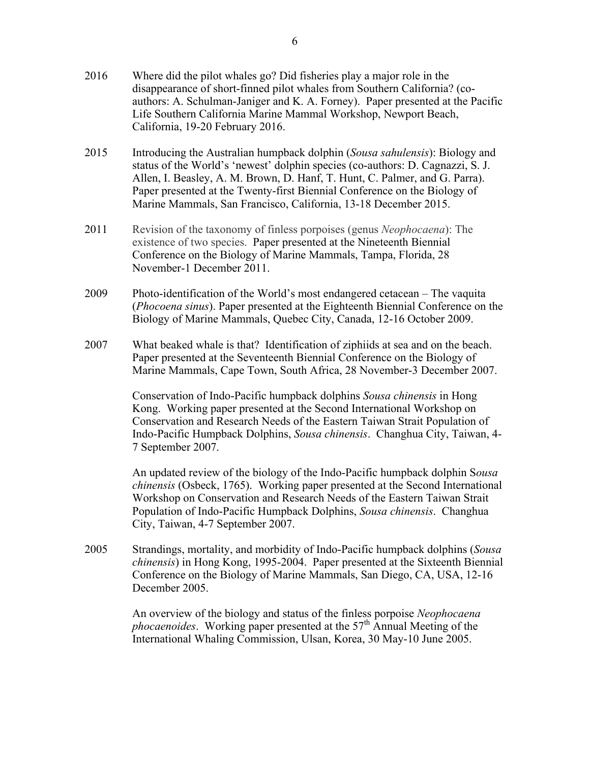- 2016 Where did the pilot whales go? Did fisheries play a major role in the disappearance of short-finned pilot whales from Southern California? (coauthors: A. Schulman-Janiger and K. A. Forney). Paper presented at the Pacific Life Southern California Marine Mammal Workshop, Newport Beach, California, 19-20 February 2016.
- 2015 Introducing the Australian humpback dolphin (*Sousa sahulensis*): Biology and status of the World's 'newest' dolphin species (co-authors: D. Cagnazzi, S. J. Allen, I. Beasley, A. M. Brown, D. Hanf, T. Hunt, C. Palmer, and G. Parra). Paper presented at the Twenty-first Biennial Conference on the Biology of Marine Mammals, San Francisco, California, 13-18 December 2015.
- 2011 Revision of the taxonomy of finless porpoises (genus *Neophocaena*): The existence of two species. Paper presented at the Nineteenth Biennial Conference on the Biology of Marine Mammals, Tampa, Florida, 28 November-1 December 2011.
- 2009 Photo-identification of the World's most endangered cetacean The vaquita (*Phocoena sinus*). Paper presented at the Eighteenth Biennial Conference on the Biology of Marine Mammals, Quebec City, Canada, 12-16 October 2009.
- 2007 What beaked whale is that? Identification of ziphiids at sea and on the beach. Paper presented at the Seventeenth Biennial Conference on the Biology of Marine Mammals, Cape Town, South Africa, 28 November-3 December 2007.

Conservation of Indo-Pacific humpback dolphins *Sousa chinensis* in Hong Kong. Working paper presented at the Second International Workshop on Conservation and Research Needs of the Eastern Taiwan Strait Population of Indo-Pacific Humpback Dolphins, *Sousa chinensis*. Changhua City, Taiwan, 4- 7 September 2007.

An updated review of the biology of the Indo-Pacific humpback dolphin S*ousa chinensis* (Osbeck, 1765). Working paper presented at the Second International Workshop on Conservation and Research Needs of the Eastern Taiwan Strait Population of Indo-Pacific Humpback Dolphins, *Sousa chinensis*. Changhua City, Taiwan, 4-7 September 2007.

2005 Strandings, mortality, and morbidity of Indo-Pacific humpback dolphins (*Sousa chinensis*) in Hong Kong, 1995-2004. Paper presented at the Sixteenth Biennial Conference on the Biology of Marine Mammals, San Diego, CA, USA, 12-16 December 2005.

> An overview of the biology and status of the finless porpoise *Neophocaena phocaenoides*. Working paper presented at the  $57<sup>th</sup>$  Annual Meeting of the International Whaling Commission, Ulsan, Korea, 30 May-10 June 2005.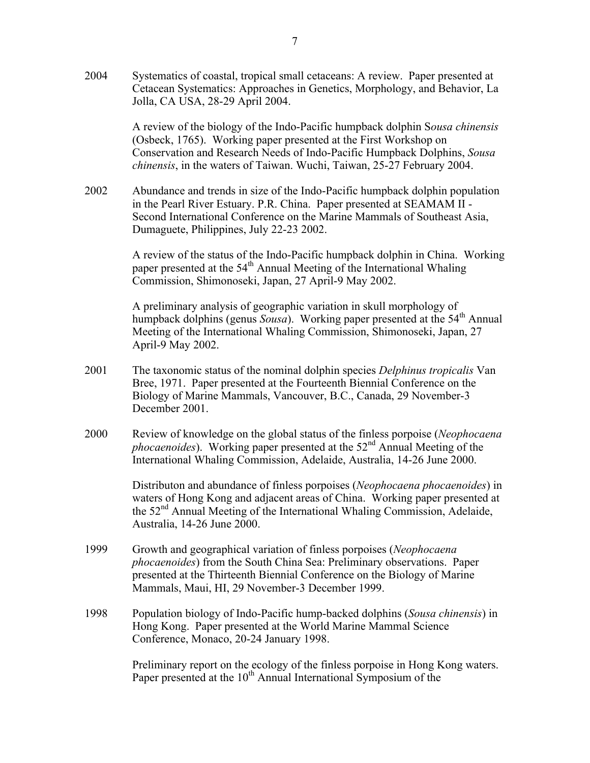2004 Systematics of coastal, tropical small cetaceans: A review. Paper presented at Cetacean Systematics: Approaches in Genetics, Morphology, and Behavior, La Jolla, CA USA, 28-29 April 2004.

> A review of the biology of the Indo-Pacific humpback dolphin S*ousa chinensis* (Osbeck, 1765). Working paper presented at the First Workshop on Conservation and Research Needs of Indo-Pacific Humpback Dolphins, *Sousa chinensis*, in the waters of Taiwan. Wuchi, Taiwan, 25-27 February 2004.

2002 Abundance and trends in size of the Indo-Pacific humpback dolphin population in the Pearl River Estuary. P.R. China. Paper presented at SEAMAM II - Second International Conference on the Marine Mammals of Southeast Asia, Dumaguete, Philippines, July 22-23 2002.

> A review of the status of the Indo-Pacific humpback dolphin in China. Working paper presented at the  $54<sup>th</sup>$  Annual Meeting of the International Whaling Commission, Shimonoseki, Japan, 27 April-9 May 2002.

> A preliminary analysis of geographic variation in skull morphology of humpback dolphins (genus *Sousa*). Working paper presented at the 54<sup>th</sup> Annual Meeting of the International Whaling Commission, Shimonoseki, Japan, 27 April-9 May 2002.

- 2001 The taxonomic status of the nominal dolphin species *Delphinus tropicalis* Van Bree, 1971. Paper presented at the Fourteenth Biennial Conference on the Biology of Marine Mammals, Vancouver, B.C., Canada, 29 November-3 December 2001.
- 2000 Review of knowledge on the global status of the finless porpoise (*Neophocaena phocaenoides*). Working paper presented at the 52<sup>nd</sup> Annual Meeting of the International Whaling Commission, Adelaide, Australia, 14-26 June 2000.

Distributon and abundance of finless porpoises (*Neophocaena phocaenoides*) in waters of Hong Kong and adjacent areas of China. Working paper presented at the 52<sup>nd</sup> Annual Meeting of the International Whaling Commission, Adelaide, Australia, 14-26 June 2000.

- 1999 Growth and geographical variation of finless porpoises (*Neophocaena phocaenoides*) from the South China Sea: Preliminary observations. Paper presented at the Thirteenth Biennial Conference on the Biology of Marine Mammals, Maui, HI, 29 November-3 December 1999.
- 1998 Population biology of Indo-Pacific hump-backed dolphins (*Sousa chinensis*) in Hong Kong. Paper presented at the World Marine Mammal Science Conference, Monaco, 20-24 January 1998.

Preliminary report on the ecology of the finless porpoise in Hong Kong waters. Paper presented at the 10<sup>th</sup> Annual International Symposium of the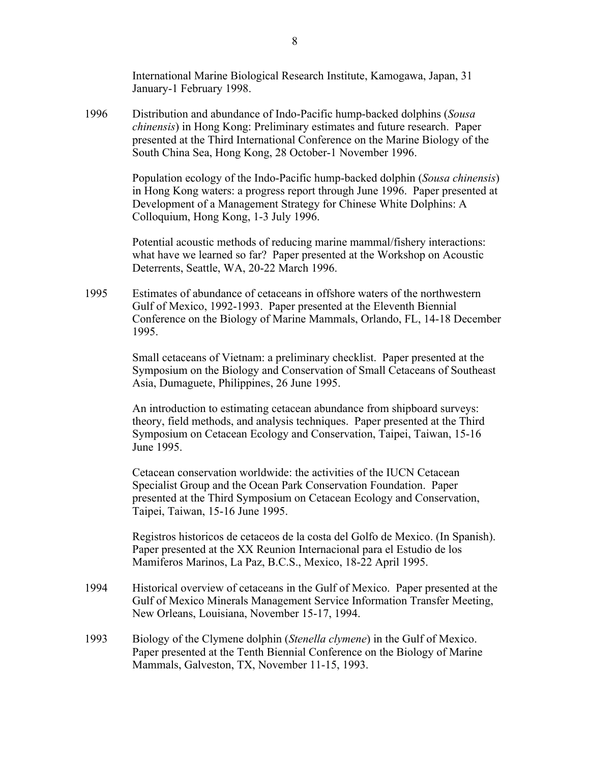International Marine Biological Research Institute, Kamogawa, Japan, 31 January-1 February 1998.

1996 Distribution and abundance of Indo-Pacific hump-backed dolphins (*Sousa chinensis*) in Hong Kong: Preliminary estimates and future research. Paper presented at the Third International Conference on the Marine Biology of the South China Sea, Hong Kong, 28 October-1 November 1996.

> Population ecology of the Indo-Pacific hump-backed dolphin (*Sousa chinensis*) in Hong Kong waters: a progress report through June 1996. Paper presented at Development of a Management Strategy for Chinese White Dolphins: A Colloquium, Hong Kong, 1-3 July 1996.

Potential acoustic methods of reducing marine mammal/fishery interactions: what have we learned so far? Paper presented at the Workshop on Acoustic Deterrents, Seattle, WA, 20-22 March 1996.

1995 Estimates of abundance of cetaceans in offshore waters of the northwestern Gulf of Mexico, 1992-1993. Paper presented at the Eleventh Biennial Conference on the Biology of Marine Mammals, Orlando, FL, 14-18 December 1995.

> Small cetaceans of Vietnam: a preliminary checklist. Paper presented at the Symposium on the Biology and Conservation of Small Cetaceans of Southeast Asia, Dumaguete, Philippines, 26 June 1995.

An introduction to estimating cetacean abundance from shipboard surveys: theory, field methods, and analysis techniques. Paper presented at the Third Symposium on Cetacean Ecology and Conservation, Taipei, Taiwan, 15-16 June 1995.

Cetacean conservation worldwide: the activities of the IUCN Cetacean Specialist Group and the Ocean Park Conservation Foundation. Paper presented at the Third Symposium on Cetacean Ecology and Conservation, Taipei, Taiwan, 15-16 June 1995.

Registros historicos de cetaceos de la costa del Golfo de Mexico. (In Spanish). Paper presented at the XX Reunion Internacional para el Estudio de los Mamiferos Marinos, La Paz, B.C.S., Mexico, 18-22 April 1995.

- 1994 Historical overview of cetaceans in the Gulf of Mexico. Paper presented at the Gulf of Mexico Minerals Management Service Information Transfer Meeting, New Orleans, Louisiana, November 15-17, 1994.
- 1993 Biology of the Clymene dolphin (*Stenella clymene*) in the Gulf of Mexico. Paper presented at the Tenth Biennial Conference on the Biology of Marine Mammals, Galveston, TX, November 11-15, 1993.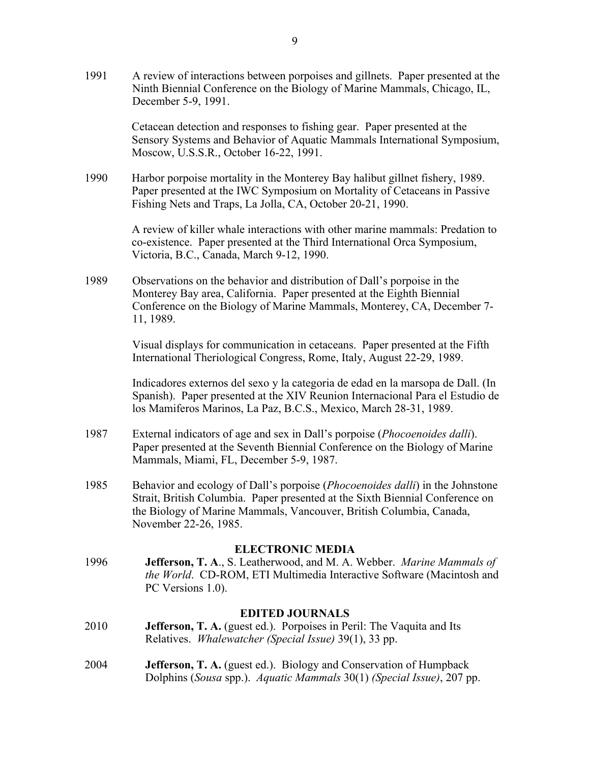1991 A review of interactions between porpoises and gillnets. Paper presented at the Ninth Biennial Conference on the Biology of Marine Mammals, Chicago, IL, December 5-9, 1991.

> Cetacean detection and responses to fishing gear. Paper presented at the Sensory Systems and Behavior of Aquatic Mammals International Symposium, Moscow, U.S.S.R., October 16-22, 1991.

1990 Harbor porpoise mortality in the Monterey Bay halibut gillnet fishery, 1989. Paper presented at the IWC Symposium on Mortality of Cetaceans in Passive Fishing Nets and Traps, La Jolla, CA, October 20-21, 1990.

> A review of killer whale interactions with other marine mammals: Predation to co-existence. Paper presented at the Third International Orca Symposium, Victoria, B.C., Canada, March 9-12, 1990.

1989 Observations on the behavior and distribution of Dall's porpoise in the Monterey Bay area, California. Paper presented at the Eighth Biennial Conference on the Biology of Marine Mammals, Monterey, CA, December 7- 11, 1989.

> Visual displays for communication in cetaceans. Paper presented at the Fifth International Theriological Congress, Rome, Italy, August 22-29, 1989.

Indicadores externos del sexo y la categoria de edad en la marsopa de Dall. (In Spanish). Paper presented at the XIV Reunion Internacional Para el Estudio de los Mamiferos Marinos, La Paz, B.C.S., Mexico, March 28-31, 1989.

- 1987 External indicators of age and sex in Dall's porpoise (*Phocoenoides dalli*). Paper presented at the Seventh Biennial Conference on the Biology of Marine Mammals, Miami, FL, December 5-9, 1987.
- 1985 Behavior and ecology of Dall's porpoise (*Phocoenoides dalli*) in the Johnstone Strait, British Columbia. Paper presented at the Sixth Biennial Conference on the Biology of Marine Mammals, Vancouver, British Columbia, Canada, November 22-26, 1985.

#### **ELECTRONIC MEDIA**

1996 **Jefferson, T. A**., S. Leatherwood, and M. A. Webber. *Marine Mammals of the World*. CD-ROM, ETI Multimedia Interactive Software (Macintosh and PC Versions 1.0).

#### **EDITED JOURNALS**

- 2010 **Jefferson, T. A.** (guest ed.). Porpoises in Peril: The Vaquita and Its Relatives. *Whalewatcher (Special Issue)* 39(1), 33 pp.
- 2004 **Jefferson, T. A.** (guest ed.). Biology and Conservation of Humpback Dolphins (*Sousa* spp.). *Aquatic Mammals* 30(1) *(Special Issue)*, 207 pp.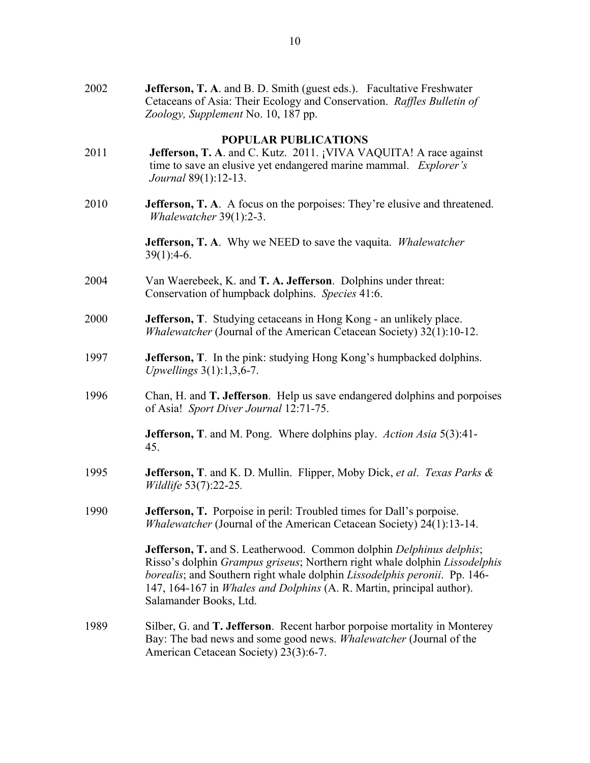| 2002 | Jefferson, T. A. and B. D. Smith (guest eds.). Facultative Freshwater<br>Cetaceans of Asia: Their Ecology and Conservation. Raffles Bulletin of<br>Zoology, Supplement No. 10, 187 pp.                                                                                                                                                   |
|------|------------------------------------------------------------------------------------------------------------------------------------------------------------------------------------------------------------------------------------------------------------------------------------------------------------------------------------------|
| 2011 | <b>POPULAR PUBLICATIONS</b><br>Jefferson, T. A. and C. Kutz. 2011. ¡VIVA VAQUITA! A race against<br>time to save an elusive yet endangered marine mammal. Explorer's<br><i>Journal</i> 89(1):12-13.                                                                                                                                      |
| 2010 | <b>Jefferson, T. A.</b> A focus on the porpoises: They're elusive and threatened.<br>Whalewatcher $39(1)$ :2-3.                                                                                                                                                                                                                          |
|      | <b>Jefferson, T. A.</b> Why we NEED to save the vaquita. <i>Whalewatcher</i><br>$39(1):4-6.$                                                                                                                                                                                                                                             |
| 2004 | Van Waerebeek, K. and T. A. Jefferson. Dolphins under threat:<br>Conservation of humpback dolphins. Species 41:6.                                                                                                                                                                                                                        |
| 2000 | <b>Jefferson, T.</b> Studying cetaceans in Hong Kong - an unlikely place.<br>Whalewatcher (Journal of the American Cetacean Society) 32(1):10-12.                                                                                                                                                                                        |
| 1997 | Jefferson, T. In the pink: studying Hong Kong's humpbacked dolphins.<br>Upwellings $3(1)$ :1,3,6-7.                                                                                                                                                                                                                                      |
| 1996 | Chan, H. and T. Jefferson. Help us save endangered dolphins and porpoises<br>of Asia! Sport Diver Journal 12:71-75.                                                                                                                                                                                                                      |
|      | <b>Jefferson, T.</b> and M. Pong. Where dolphins play. <i>Action Asia</i> 5(3):41-<br>45.                                                                                                                                                                                                                                                |
| 1995 | <b>Jefferson, T.</b> and K. D. Mullin. Flipper, Moby Dick, et al. Texas Parks &<br><i>Wildlife</i> 53(7):22-25.                                                                                                                                                                                                                          |
| 1990 | Jefferson, T. Porpoise in peril: Troubled times for Dall's porpoise.<br><i>Whalewatcher</i> (Journal of the American Cetacean Society) 24(1):13-14.                                                                                                                                                                                      |
|      | Jefferson, T. and S. Leatherwood. Common dolphin Delphinus delphis;<br>Risso's dolphin Grampus griseus; Northern right whale dolphin Lissodelphis<br>borealis; and Southern right whale dolphin Lissodelphis peronii. Pp. 146-<br>147, 164-167 in <i>Whales and Dolphins</i> (A. R. Martin, principal author).<br>Salamander Books, Ltd. |
| 1989 | Silber, G. and <b>T. Jefferson</b> . Recent harbor porpoise mortality in Monterey<br>Bay: The bad news and some good news. Whalewatcher (Journal of the<br>American Cetacean Society) 23(3):6-7.                                                                                                                                         |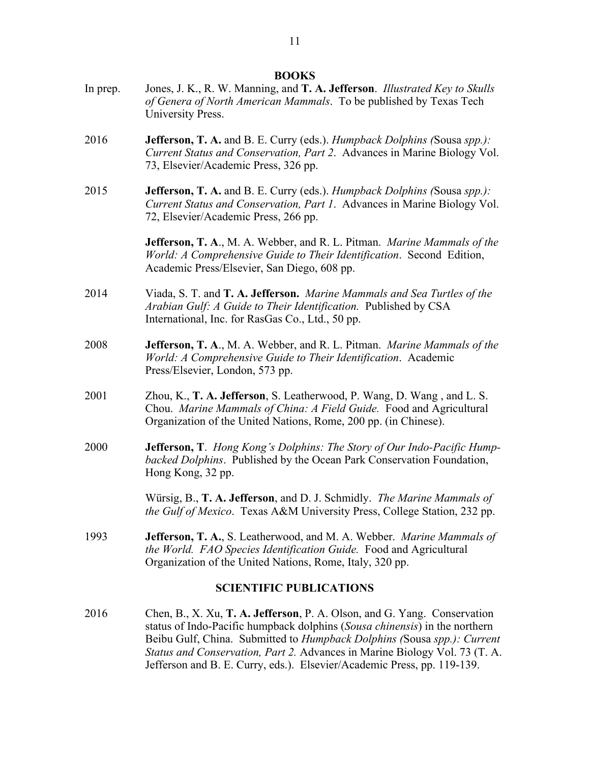- In prep. Jones, J. K., R. W. Manning, and **T. A. Jefferson**. *Illustrated Key to Skulls of Genera of North American Mammals*. To be published by Texas Tech University Press.
- 2016 **Jefferson, T. A.** and B. E. Curry (eds.). *Humpback Dolphins (*Sousa *spp.): Current Status and Conservation, Part 2*. Advances in Marine Biology Vol. 73, Elsevier/Academic Press, 326 pp.
- 2015 **Jefferson, T. A.** and B. E. Curry (eds.). *Humpback Dolphins (*Sousa *spp.): Current Status and Conservation, Part 1*. Advances in Marine Biology Vol. 72, Elsevier/Academic Press, 266 pp.

**Jefferson, T. A**., M. A. Webber, and R. L. Pitman. *Marine Mammals of the World: A Comprehensive Guide to Their Identification*. Second Edition, Academic Press/Elsevier, San Diego, 608 pp.

- 2014 Viada, S. T. and **T. A. Jefferson.** *Marine Mammals and Sea Turtles of the Arabian Gulf: A Guide to Their Identification.* Published by CSA International, Inc. for RasGas Co., Ltd., 50 pp.
- 2008 **Jefferson, T. A**., M. A. Webber, and R. L. Pitman. *Marine Mammals of the World: A Comprehensive Guide to Their Identification*. Academic Press/Elsevier, London, 573 pp.
- 2001 Zhou, K., **T. A. Jefferson**, S. Leatherwood, P. Wang, D. Wang , and L. S. Chou. *Marine Mammals of China: A Field Guide.* Food and Agricultural Organization of the United Nations, Rome, 200 pp. (in Chinese).
- 2000 **Jefferson, T**. *Hong Kong's Dolphins: The Story of Our Indo-Pacific Humpbacked Dolphins*. Published by the Ocean Park Conservation Foundation, Hong Kong, 32 pp.

Würsig, B., **T. A. Jefferson**, and D. J. Schmidly. *The Marine Mammals of the Gulf of Mexico*. Texas A&M University Press, College Station, 232 pp.

1993 **Jefferson, T. A.**, S. Leatherwood, and M. A. Webber. *Marine Mammals of the World. FAO Species Identification Guide.* Food and Agricultural Organization of the United Nations, Rome, Italy, 320 pp.

## **SCIENTIFIC PUBLICATIONS**

2016 Chen, B., X. Xu, **T. A. Jefferson**, P. A. Olson, and G. Yang. Conservation status of Indo-Pacific humpback dolphins (*Sousa chinensis*) in the northern Beibu Gulf, China. Submitted to *Humpback Dolphins (*Sousa *spp.): Current Status and Conservation, Part 2.* Advances in Marine Biology Vol. 73 (T. A. Jefferson and B. E. Curry, eds.). Elsevier/Academic Press, pp. 119-139.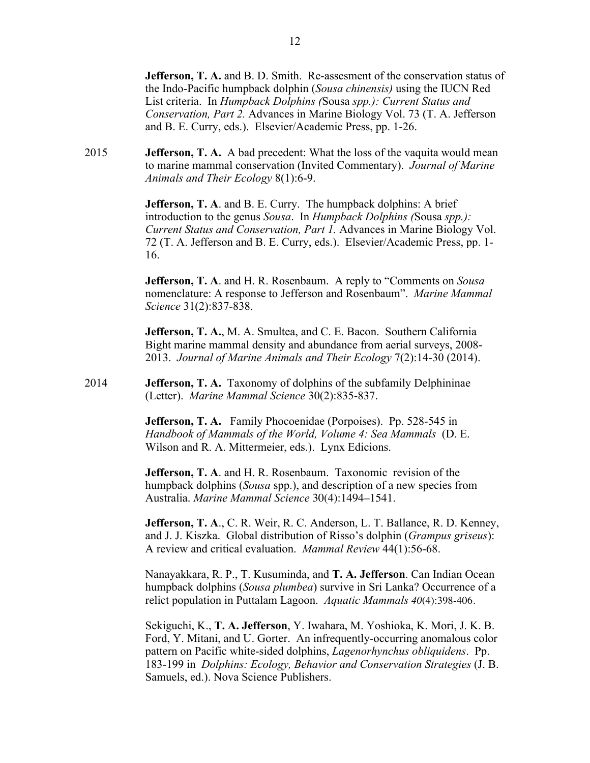**Jefferson, T. A.** and B. D. Smith. Re-assesment of the conservation status of the Indo-Pacific humpback dolphin (*Sousa chinensis)* using the IUCN Red List criteria. In *Humpback Dolphins (*Sousa *spp.): Current Status and Conservation, Part 2.* Advances in Marine Biology Vol. 73 (T. A. Jefferson and B. E. Curry, eds.). Elsevier/Academic Press, pp. 1-26.

2015 **Jefferson, T. A.** A bad precedent: What the loss of the vaquita would mean to marine mammal conservation (Invited Commentary). *Journal of Marine Animals and Their Ecology* 8(1):6-9.

> **Jefferson, T. A**. and B. E. Curry. The humpback dolphins: A brief introduction to the genus *Sousa*. In *Humpback Dolphins (*Sousa *spp.): Current Status and Conservation, Part 1.* Advances in Marine Biology Vol. 72 (T. A. Jefferson and B. E. Curry, eds.). Elsevier/Academic Press, pp. 1- 16.

> **Jefferson, T. A**. and H. R. Rosenbaum. A reply to "Comments on *Sousa* nomenclature: A response to Jefferson and Rosenbaum". *Marine Mammal Science* 31(2):837-838.

**Jefferson, T. A.**, M. A. Smultea, and C. E. Bacon. Southern California Bight marine mammal density and abundance from aerial surveys, 2008- 2013. *Journal of Marine Animals and Their Ecology* 7(2):14-30 (2014).

2014 **Jefferson, T. A.** Taxonomy of dolphins of the subfamily Delphininae (Letter). *Marine Mammal Science* 30(2):835-837.

> **Jefferson, T. A.** Family Phocoenidae (Porpoises). Pp. 528-545 in *Handbook of Mammals of the World, Volume 4: Sea Mammals* (D. E. Wilson and R. A. Mittermeier, eds.). Lynx Edicions.

**Jefferson, T. A**. and H. R. Rosenbaum. Taxonomic revision of the humpback dolphins (*Sousa* spp.), and description of a new species from Australia. *Marine Mammal Science* 30(4):1494–1541.

**Jefferson, T. A**., C. R. Weir, R. C. Anderson, L. T. Ballance, R. D. Kenney, and J. J. Kiszka. Global distribution of Risso's dolphin (*Grampus griseus*): A review and critical evaluation. *Mammal Review* 44(1):56-68.

Nanayakkara, R. P., T. Kusuminda, and **T. A. Jefferson**. Can Indian Ocean humpback dolphins (*Sousa plumbea*) survive in Sri Lanka? Occurrence of a relict population in Puttalam Lagoon. *Aquatic Mammals 40*(4):398-406.

Sekiguchi, K., **T. A. Jefferson**, Y. Iwahara, M. Yoshioka, K. Mori, J. K. B. Ford, Y. Mitani, and U. Gorter. An infrequently-occurring anomalous color pattern on Pacific white-sided dolphins, *Lagenorhynchus obliquidens*. Pp. 183-199 in *Dolphins: Ecology, Behavior and Conservation Strategies* (J. B. Samuels, ed.). Nova Science Publishers.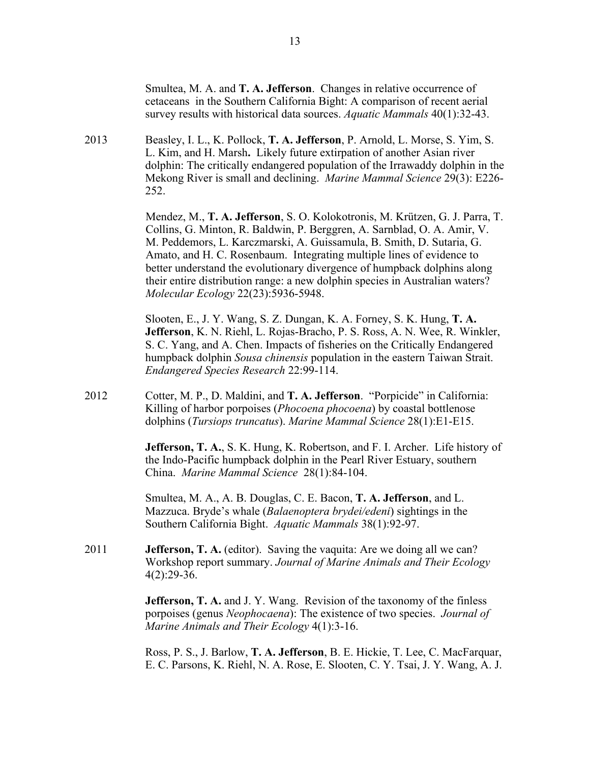Smultea, M. A. and **T. A. Jefferson**. Changes in relative occurrence of cetaceans in the Southern California Bight: A comparison of recent aerial survey results with historical data sources. *Aquatic Mammals* 40(1):32-43.

2013 Beasley, I. L., K. Pollock, **T. A. Jefferson**, P. Arnold, L. Morse, S. Yim, S. L. Kim, and H. Marsh**.** Likely future extirpation of another Asian river dolphin: The critically endangered population of the Irrawaddy dolphin in the Mekong River is small and declining. *Marine Mammal Science* 29(3): E226- 252.

> Mendez, M., **T. A. Jefferson**, S. O. Kolokotronis, M. Krützen, G. J. Parra, T. Collins, G. Minton, R. Baldwin, P. Berggren, A. Sarnblad, O. A. Amir, V. M. Peddemors, L. Karczmarski, A. Guissamula, B. Smith, D. Sutaria, G. Amato, and H. C. Rosenbaum. Integrating multiple lines of evidence to better understand the evolutionary divergence of humpback dolphins along their entire distribution range: a new dolphin species in Australian waters? *Molecular Ecology* 22(23):5936-5948.

> Slooten, E., J. Y. Wang, S. Z. Dungan, K. A. Forney, S. K. Hung, **T. A. Jefferson**, K. N. Riehl, L. Rojas-Bracho, P. S. Ross, A. N. Wee, R. Winkler, S. C. Yang, and A. Chen. Impacts of fisheries on the Critically Endangered humpback dolphin *Sousa chinensis* population in the eastern Taiwan Strait. *Endangered Species Research* 22:99-114.

2012 Cotter, M. P., D. Maldini, and **T. A. Jefferson**. "Porpicide" in California: Killing of harbor porpoises (*Phocoena phocoena*) by coastal bottlenose dolphins (*Tursiops truncatus*). *Marine Mammal Science* 28(1):E1-E15.

> **Jefferson, T. A.**, S. K. Hung, K. Robertson, and F. I. Archer. Life history of the Indo-Pacific humpback dolphin in the Pearl River Estuary, southern China. *Marine Mammal Science* 28(1):84-104.

Smultea, M. A., A. B. Douglas, C. E. Bacon, **T. A. Jefferson**, and L. Mazzuca. Bryde's whale (*Balaenoptera brydei/edeni*) sightings in the Southern California Bight. *Aquatic Mammals* 38(1):92-97.

2011 **Jefferson, T. A.** (editor). Saving the vaquita: Are we doing all we can? Workshop report summary. *Journal of Marine Animals and Their Ecology*  $4(2):29-36.$ 

> **Jefferson, T. A.** and J. Y. Wang. Revision of the taxonomy of the finless porpoises (genus *Neophocaena*): The existence of two species. *Journal of Marine Animals and Their Ecology* 4(1):3-16.

Ross, P. S., J. Barlow, **T. A. Jefferson**, B. E. Hickie, T. Lee, C. MacFarquar, E. C. Parsons, K. Riehl, N. A. Rose, E. Slooten, C. Y. Tsai, J. Y. Wang, A. J.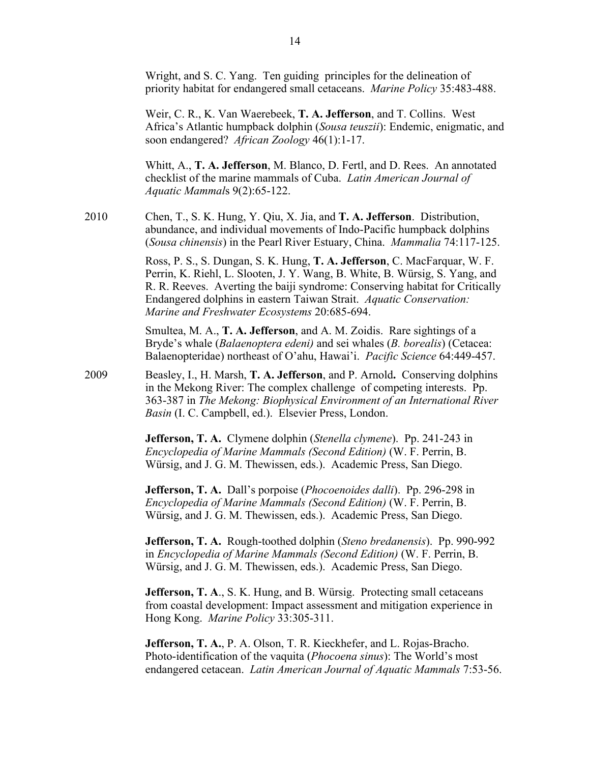|      | Wright, and S. C. Yang. Ten guiding principles for the delineation of<br>priority habitat for endangered small cetaceans. Marine Policy 35:483-488.                                                                                                                                                                                                             |
|------|-----------------------------------------------------------------------------------------------------------------------------------------------------------------------------------------------------------------------------------------------------------------------------------------------------------------------------------------------------------------|
|      | Weir, C. R., K. Van Waerebeek, T. A. Jefferson, and T. Collins. West<br>Africa's Atlantic humpback dolphin (Sousa teuszii): Endemic, enigmatic, and<br>soon endangered? African Zoology 46(1):1-17.                                                                                                                                                             |
|      | Whitt, A., T. A. Jefferson, M. Blanco, D. Fertl, and D. Rees. An annotated<br>checklist of the marine mammals of Cuba. Latin American Journal of<br>Aquatic Mammals 9(2):65-122.                                                                                                                                                                                |
| 2010 | Chen, T., S. K. Hung, Y. Qiu, X. Jia, and T. A. Jefferson. Distribution,<br>abundance, and individual movements of Indo-Pacific humpback dolphins<br>(Sousa chinensis) in the Pearl River Estuary, China. Mammalia 74:117-125.                                                                                                                                  |
|      | Ross, P. S., S. Dungan, S. K. Hung, T. A. Jefferson, C. MacFarquar, W. F.<br>Perrin, K. Riehl, L. Slooten, J. Y. Wang, B. White, B. Würsig, S. Yang, and<br>R. R. Reeves. Averting the baiji syndrome: Conserving habitat for Critically<br>Endangered dolphins in eastern Taiwan Strait. Aquatic Conservation:<br>Marine and Freshwater Ecosystems 20:685-694. |
|      | Smultea, M. A., T. A. Jefferson, and A. M. Zoidis. Rare sightings of a<br>Bryde's whale (Balaenoptera edeni) and sei whales (B. borealis) (Cetacea:<br>Balaenopteridae) northeast of O'ahu, Hawai'i. Pacific Science 64:449-457.                                                                                                                                |
| 2009 | Beasley, I., H. Marsh, T. A. Jefferson, and P. Arnold. Conserving dolphins<br>in the Mekong River: The complex challenge of competing interests. Pp.<br>363-387 in The Mekong: Biophysical Environment of an International River<br>Basin (I. C. Campbell, ed.). Elsevier Press, London.                                                                        |
|      | Jefferson, T. A. Clymene dolphin (Stenella clymene). Pp. 241-243 in<br>Encyclopedia of Marine Mammals (Second Edition) (W. F. Perrin, B.<br>Würsig, and J. G. M. Thewissen, eds.). Academic Press, San Diego.                                                                                                                                                   |
|      |                                                                                                                                                                                                                                                                                                                                                                 |

**Jefferson, T. A.** Dall's porpoise (*Phocoenoides dalli*). Pp. 296-298 in *Encyclopedia of Marine Mammals (Second Edition)* (W. F. Perrin, B. Würsig, and J. G. M. Thewissen, eds.). Academic Press, San Diego.

**Jefferson, T. A.** Rough-toothed dolphin (*Steno bredanensis*). Pp. 990-992 in *Encyclopedia of Marine Mammals (Second Edition)* (W. F. Perrin, B. Würsig, and J. G. M. Thewissen, eds.). Academic Press, San Diego.

**Jefferson, T. A., S. K. Hung, and B. Würsig. Protecting small cetaceans** from coastal development: Impact assessment and mitigation experience in Hong Kong. *Marine Policy* 33:305-311.

**Jefferson, T. A.**, P. A. Olson, T. R. Kieckhefer, and L. Rojas-Bracho. Photo-identification of the vaquita (*Phocoena sinus*): The World's most endangered cetacean. *Latin American Journal of Aquatic Mammals* 7:53-56.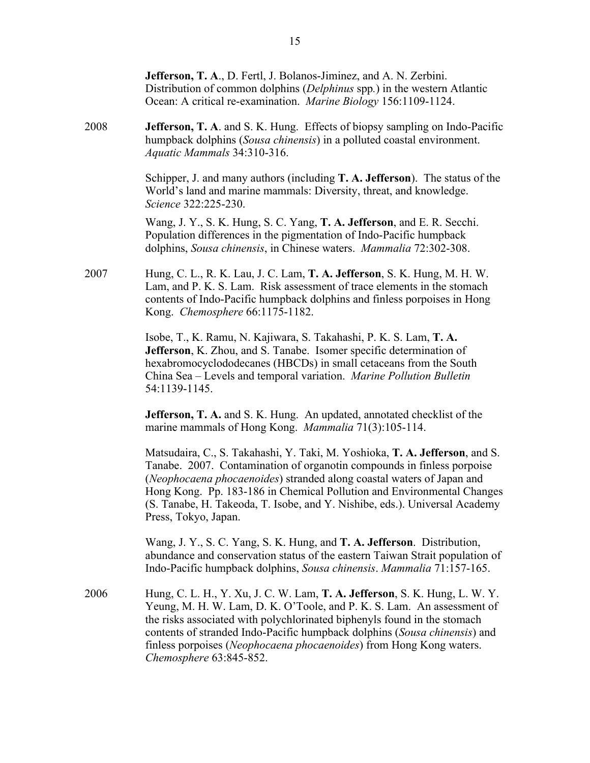**Jefferson, T. A**., D. Fertl, J. Bolanos-Jiminez, and A. N. Zerbini. Distribution of common dolphins (*Delphinus* spp*.*) in the western Atlantic Ocean: A critical re-examination. *Marine Biology* 156:1109-1124. 2008 **Jefferson, T. A**. and S. K. Hung. Effects of biopsy sampling on Indo-Pacific humpback dolphins (*Sousa chinensis*) in a polluted coastal environment. *Aquatic Mammals* 34:310-316. Schipper, J. and many authors (including **T. A. Jefferson**). The status of the World's land and marine mammals: Diversity, threat, and knowledge. *Science* 322:225-230. Wang, J. Y., S. K. Hung, S. C. Yang, **T. A. Jefferson**, and E. R. Secchi. Population differences in the pigmentation of Indo-Pacific humpback dolphins, *Sousa chinensis*, in Chinese waters. *Mammalia* 72:302-308. 2007 Hung, C. L., R. K. Lau, J. C. Lam, **T. A. Jefferson**, S. K. Hung, M. H. W. Lam, and P. K. S. Lam. Risk assessment of trace elements in the stomach contents of Indo-Pacific humpback dolphins and finless porpoises in Hong Kong. *Chemosphere* 66:1175-1182. Isobe, T., K. Ramu, N. Kajiwara, S. Takahashi, P. K. S. Lam, **T. A. Jefferson**, K. Zhou, and S. Tanabe. Isomer specific determination of hexabromocyclododecanes (HBCDs) in small cetaceans from the South China Sea – Levels and temporal variation. *Marine Pollution Bulletin* 54:1139-1145. **Jefferson, T. A.** and S. K. Hung. An updated, annotated checklist of the marine mammals of Hong Kong. *Mammalia* 71(3):105-114. Matsudaira, C., S. Takahashi, Y. Taki, M. Yoshioka, **T. A. Jefferson**, and S. Tanabe. 2007. Contamination of organotin compounds in finless porpoise (*Neophocaena phocaenoides*) stranded along coastal waters of Japan and Hong Kong. Pp. 183-186 in Chemical Pollution and Environmental Changes (S. Tanabe, H. Takeoda, T. Isobe, and Y. Nishibe, eds.). Universal Academy Press, Tokyo, Japan. Wang, J. Y., S. C. Yang, S. K. Hung, and **T. A. Jefferson**. Distribution, abundance and conservation status of the eastern Taiwan Strait population of Indo-Pacific humpback dolphins, *Sousa chinensis*. *Mammalia* 71:157-165. 2006 Hung, C. L. H., Y. Xu, J. C. W. Lam, **T. A. Jefferson**, S. K. Hung, L. W. Y. Yeung, M. H. W. Lam, D. K. O'Toole, and P. K. S. Lam. An assessment of the risks associated with polychlorinated biphenyls found in the stomach contents of stranded Indo-Pacific humpback dolphins (*Sousa chinensis*) and finless porpoises (*Neophocaena phocaenoides*) from Hong Kong waters. *Chemosphere* 63:845-852.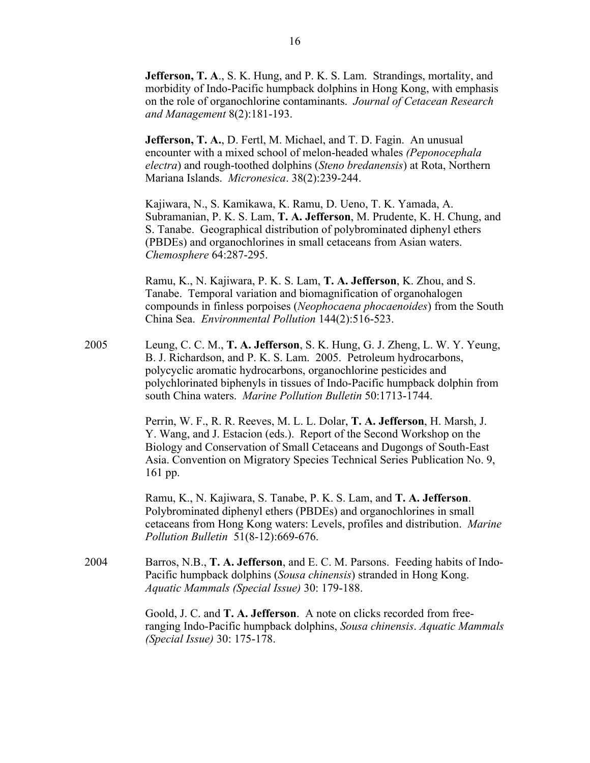**Jefferson, T. A., S. K. Hung, and P. K. S. Lam. Strandings, mortality, and** morbidity of Indo-Pacific humpback dolphins in Hong Kong, with emphasis on the role of organochlorine contaminants. *Journal of Cetacean Research and Management* 8(2):181-193.

**Jefferson, T. A., D. Fertl, M. Michael, and T. D. Fagin. An unusual** encounter with a mixed school of melon-headed whales *(Peponocephala electra*) and rough-toothed dolphins (*Steno bredanensis*) at Rota, Northern Mariana Islands. *Micronesica*. 38(2):239-244.

Kajiwara, N., S. Kamikawa, K. Ramu, D. Ueno, T. K. Yamada, A. Subramanian, P. K. S. Lam, **T. A. Jefferson**, M. Prudente, K. H. Chung, and S. Tanabe. Geographical distribution of polybrominated diphenyl ethers (PBDEs) and organochlorines in small cetaceans from Asian waters. *Chemosphere* 64:287-295.

Ramu, K., N. Kajiwara, P. K. S. Lam, **T. A. Jefferson**, K. Zhou, and S. Tanabe. Temporal variation and biomagnification of organohalogen compounds in finless porpoises (*Neophocaena phocaenoides*) from the South China Sea. *Environmental Pollution* 144(2):516-523.

2005 Leung, C. C. M., **T. A. Jefferson**, S. K. Hung, G. J. Zheng, L. W. Y. Yeung, B. J. Richardson, and P. K. S. Lam. 2005. Petroleum hydrocarbons, polycyclic aromatic hydrocarbons, organochlorine pesticides and polychlorinated biphenyls in tissues of Indo-Pacific humpback dolphin from south China waters. *Marine Pollution Bulletin* 50:1713-1744.

> Perrin, W. F., R. R. Reeves, M. L. L. Dolar, **T. A. Jefferson**, H. Marsh, J. Y. Wang, and J. Estacion (eds.). Report of the Second Workshop on the Biology and Conservation of Small Cetaceans and Dugongs of South-East Asia. Convention on Migratory Species Technical Series Publication No. 9, 161 pp.

Ramu, K., N. Kajiwara, S. Tanabe, P. K. S. Lam, and **T. A. Jefferson**. Polybrominated diphenyl ethers (PBDEs) and organochlorines in small cetaceans from Hong Kong waters: Levels, profiles and distribution. *Marine Pollution Bulletin* 51(8-12):669-676.

2004 Barros, N.B., **T. A. Jefferson**, and E. C. M. Parsons. Feeding habits of Indo-Pacific humpback dolphins (*Sousa chinensis*) stranded in Hong Kong. *Aquatic Mammals (Special Issue)* 30: 179-188.

> Goold, J. C. and **T. A. Jefferson**. A note on clicks recorded from freeranging Indo-Pacific humpback dolphins, *Sousa chinensis*. *Aquatic Mammals (Special Issue)* 30: 175-178.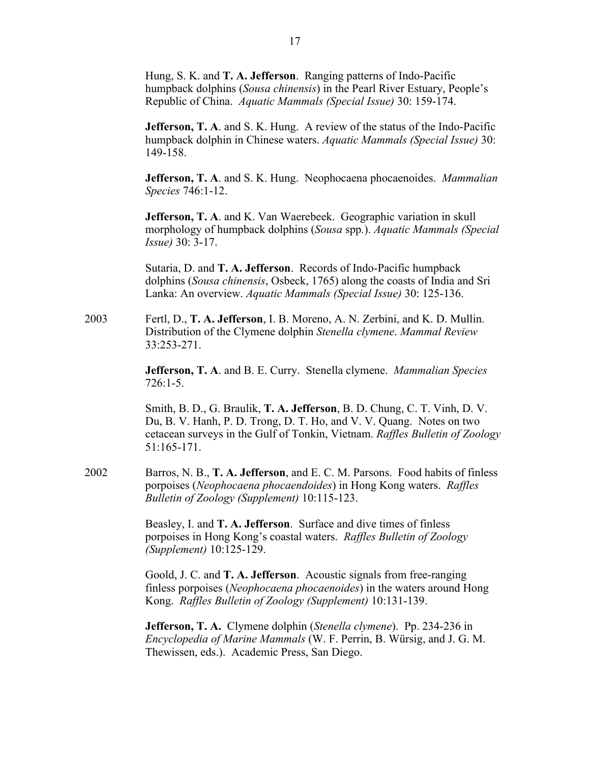Hung, S. K. and **T. A. Jefferson**. Ranging patterns of Indo-Pacific humpback dolphins (*Sousa chinensis*) in the Pearl River Estuary, People's Republic of China. *Aquatic Mammals (Special Issue)* 30: 159-174.

**Jefferson, T. A.** and S. K. Hung. A review of the status of the Indo-Pacific humpback dolphin in Chinese waters. *Aquatic Mammals (Special Issue)* 30: 149-158.

**Jefferson, T. A**. and S. K. Hung. Neophocaena phocaenoides. *Mammalian Species* 746:1-12.

**Jefferson, T. A**. and K. Van Waerebeek. Geographic variation in skull morphology of humpback dolphins (*Sousa* spp*.*). *Aquatic Mammals (Special Issue)* 30: 3-17.

Sutaria, D. and **T. A. Jefferson**. Records of Indo-Pacific humpback dolphins (*Sousa chinensis*, Osbeck, 1765) along the coasts of India and Sri Lanka: An overview. *Aquatic Mammals (Special Issue)* 30: 125-136.

2003 Fertl, D., **T. A. Jefferson**, I. B. Moreno, A. N. Zerbini, and K. D. Mullin. Distribution of the Clymene dolphin *Stenella clymene*. *Mammal Review* 33:253-271.

> **Jefferson, T. A**. and B. E. Curry. Stenella clymene. *Mammalian Species* 726:1-5.

Smith, B. D., G. Braulik, **T. A. Jefferson**, B. D. Chung, C. T. Vinh, D. V. Du, B. V. Hanh, P. D. Trong, D. T. Ho, and V. V. Quang. Notes on two cetacean surveys in the Gulf of Tonkin, Vietnam. *Raffles Bulletin of Zoology* 51:165-171.

2002 Barros, N. B., **T. A. Jefferson**, and E. C. M. Parsons. Food habits of finless porpoises (*Neophocaena phocaendoides*) in Hong Kong waters. *Raffles Bulletin of Zoology (Supplement)* 10:115-123.

> Beasley, I. and **T. A. Jefferson**. Surface and dive times of finless porpoises in Hong Kong's coastal waters. *Raffles Bulletin of Zoology (Supplement)* 10:125-129.

Goold, J. C. and **T. A. Jefferson**. Acoustic signals from free-ranging finless porpoises (*Neophocaena phocaenoides*) in the waters around Hong Kong. *Raffles Bulletin of Zoology (Supplement)* 10:131-139.

**Jefferson, T. A.** Clymene dolphin (*Stenella clymene*). Pp. 234-236 in *Encyclopedia of Marine Mammals* (W. F. Perrin, B. Würsig, and J. G. M. Thewissen, eds.). Academic Press, San Diego.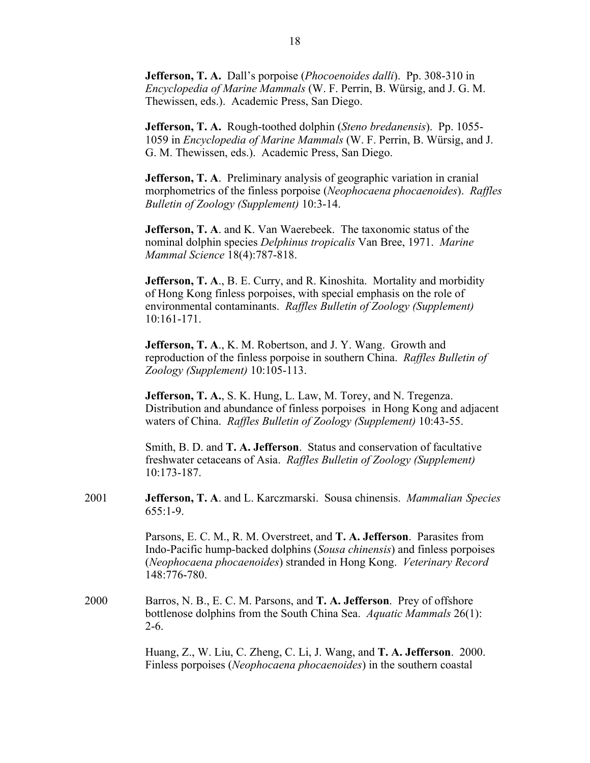**Jefferson, T. A.** Dall's porpoise (*Phocoenoides dalli*). Pp. 308-310 in *Encyclopedia of Marine Mammals* (W. F. Perrin, B. Würsig, and J. G. M. Thewissen, eds.). Academic Press, San Diego.

**Jefferson, T. A.** Rough-toothed dolphin (*Steno bredanensis*). Pp. 1055- 1059 in *Encyclopedia of Marine Mammals* (W. F. Perrin, B. Würsig, and J. G. M. Thewissen, eds.). Academic Press, San Diego.

**Jefferson, T. A**. Preliminary analysis of geographic variation in cranial morphometrics of the finless porpoise (*Neophocaena phocaenoides*). *Raffles Bulletin of Zoology (Supplement)* 10:3-14.

**Jefferson, T. A**. and K. Van Waerebeek. The taxonomic status of the nominal dolphin species *Delphinus tropicalis* Van Bree, 1971. *Marine Mammal Science* 18(4):787-818.

**Jefferson, T. A**., B. E. Curry, and R. Kinoshita. Mortality and morbidity of Hong Kong finless porpoises, with special emphasis on the role of environmental contaminants. *Raffles Bulletin of Zoology (Supplement)*  10:161-171.

**Jefferson, T. A**., K. M. Robertson, and J. Y. Wang. Growth and reproduction of the finless porpoise in southern China. *Raffles Bulletin of Zoology (Supplement)* 10:105-113.

**Jefferson, T. A.**, S. K. Hung, L. Law, M. Torey, and N. Tregenza. Distribution and abundance of finless porpoises in Hong Kong and adjacent waters of China. *Raffles Bulletin of Zoology (Supplement)* 10:43-55.

Smith, B. D. and **T. A. Jefferson**. Status and conservation of facultative freshwater cetaceans of Asia. *Raffles Bulletin of Zoology (Supplement)*  10:173-187.

2001 **Jefferson, T. A**. and L. Karczmarski. Sousa chinensis. *Mammalian Species* 655:1-9.

> Parsons, E. C. M., R. M. Overstreet, and **T. A. Jefferson**. Parasites from Indo-Pacific hump-backed dolphins (*Sousa chinensis*) and finless porpoises (*Neophocaena phocaenoides*) stranded in Hong Kong. *Veterinary Record* 148:776-780.

2000 Barros, N. B., E. C. M. Parsons, and **T. A. Jefferson**. Prey of offshore bottlenose dolphins from the South China Sea. *Aquatic Mammals* 26(1): 2-6.

> Huang, Z., W. Liu, C. Zheng, C. Li, J. Wang, and **T. A. Jefferson**. 2000. Finless porpoises (*Neophocaena phocaenoides*) in the southern coastal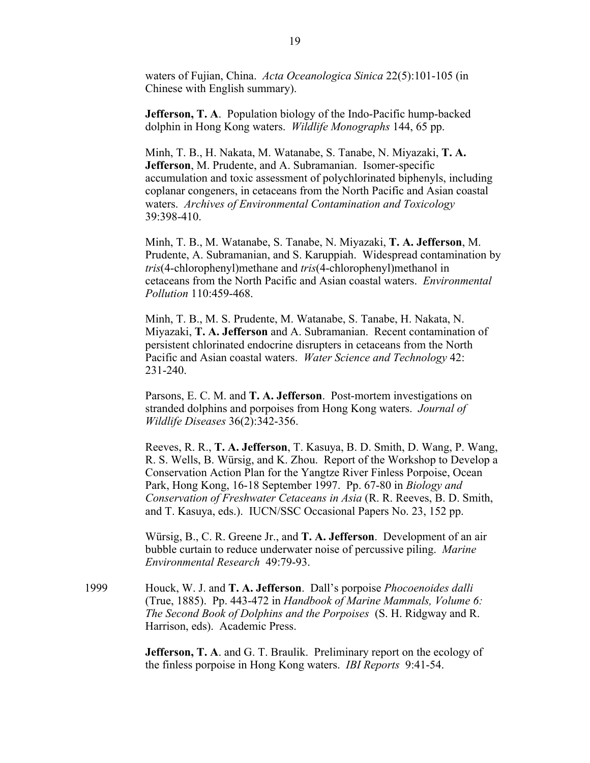waters of Fujian, China. *Acta Oceanologica Sinica* 22(5):101-105 (in Chinese with English summary).

**Jefferson, T. A**. Population biology of the Indo-Pacific hump-backed dolphin in Hong Kong waters. *Wildlife Monographs* 144, 65 pp.

Minh, T. B., H. Nakata, M. Watanabe, S. Tanabe, N. Miyazaki, **T. A. Jefferson**, M. Prudente, and A. Subramanian. Isomer-specific accumulation and toxic assessment of polychlorinated biphenyls, including coplanar congeners, in cetaceans from the North Pacific and Asian coastal waters. *Archives of Environmental Contamination and Toxicology* 39:398-410.

Minh, T. B., M. Watanabe, S. Tanabe, N. Miyazaki, **T. A. Jefferson**, M. Prudente, A. Subramanian, and S. Karuppiah. Widespread contamination by *tris*(4-chlorophenyl)methane and *tris*(4-chlorophenyl)methanol in cetaceans from the North Pacific and Asian coastal waters. *Environmental Pollution* 110:459-468.

Minh, T. B., M. S. Prudente, M. Watanabe, S. Tanabe, H. Nakata, N. Miyazaki, **T. A. Jefferson** and A. Subramanian. Recent contamination of persistent chlorinated endocrine disrupters in cetaceans from the North Pacific and Asian coastal waters. *Water Science and Technology* 42: 231-240.

Parsons, E. C. M. and **T. A. Jefferson**. Post-mortem investigations on stranded dolphins and porpoises from Hong Kong waters. *Journal of Wildlife Diseases* 36(2):342-356.

Reeves, R. R., **T. A. Jefferson**, T. Kasuya, B. D. Smith, D. Wang, P. Wang, R. S. Wells, B. Würsig, and K. Zhou. Report of the Workshop to Develop a Conservation Action Plan for the Yangtze River Finless Porpoise, Ocean Park, Hong Kong, 16-18 September 1997. Pp. 67-80 in *Biology and Conservation of Freshwater Cetaceans in Asia* (R. R. Reeves, B. D. Smith, and T. Kasuya, eds.). IUCN/SSC Occasional Papers No. 23, 152 pp.

Würsig, B., C. R. Greene Jr., and **T. A. Jefferson**. Development of an air bubble curtain to reduce underwater noise of percussive piling. *Marine Environmental Research* 49:79-93.

1999 Houck, W. J. and **T. A. Jefferson**. Dall's porpoise *Phocoenoides dalli* (True, 1885). Pp. 443-472 in *Handbook of Marine Mammals, Volume 6: The Second Book of Dolphins and the Porpoises* (S. H. Ridgway and R. Harrison, eds). Academic Press.

> **Jefferson, T. A.** and G. T. Braulik. Preliminary report on the ecology of the finless porpoise in Hong Kong waters. *IBI Reports* 9:41-54.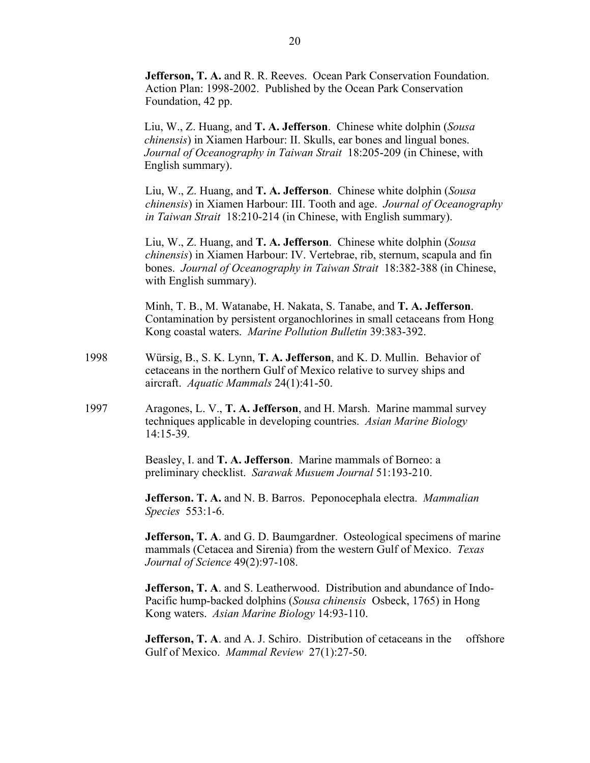**Jefferson, T. A.** and R. R. Reeves. Ocean Park Conservation Foundation. Action Plan: 1998-2002. Published by the Ocean Park Conservation Foundation, 42 pp.

Liu, W., Z. Huang, and **T. A. Jefferson**. Chinese white dolphin (*Sousa chinensis*) in Xiamen Harbour: II. Skulls, ear bones and lingual bones. *Journal of Oceanography in Taiwan Strait* 18:205-209 (in Chinese, with English summary).

Liu, W., Z. Huang, and **T. A. Jefferson**. Chinese white dolphin (*Sousa chinensis*) in Xiamen Harbour: III. Tooth and age. *Journal of Oceanography in Taiwan Strait* 18:210-214 (in Chinese, with English summary).

Liu, W., Z. Huang, and **T. A. Jefferson**. Chinese white dolphin (*Sousa chinensis*) in Xiamen Harbour: IV. Vertebrae, rib, sternum, scapula and fin bones. *Journal of Oceanography in Taiwan Strait* 18:382-388 (in Chinese, with English summary).

Minh, T. B., M. Watanabe, H. Nakata, S. Tanabe, and **T. A. Jefferson**. Contamination by persistent organochlorines in small cetaceans from Hong Kong coastal waters. *Marine Pollution Bulletin* 39:383-392.

- 1998 Würsig, B., S. K. Lynn, **T. A. Jefferson**, and K. D. Mullin. Behavior of cetaceans in the northern Gulf of Mexico relative to survey ships and aircraft. *Aquatic Mammals* 24(1):41-50.
- 1997 Aragones, L. V., **T. A. Jefferson**, and H. Marsh. Marine mammal survey techniques applicable in developing countries. *Asian Marine Biology*  14:15-39.

Beasley, I. and **T. A. Jefferson**. Marine mammals of Borneo: a preliminary checklist. *Sarawak Musuem Journal* 51:193-210.

**Jefferson. T. A.** and N. B. Barros. Peponocephala electra. *Mammalian Species* 553:1-6.

**Jefferson, T. A.** and G. D. Baumgardner. Osteological specimens of marine mammals (Cetacea and Sirenia) from the western Gulf of Mexico. *Texas Journal of Science* 49(2):97-108.

**Jefferson, T. A**. and S. Leatherwood. Distribution and abundance of Indo-Pacific hump-backed dolphins (*Sousa chinensis* Osbeck, 1765) in Hong Kong waters. *Asian Marine Biology* 14:93-110.

**Jefferson, T. A.** and A. J. Schiro. Distribution of cetaceans in the offshore Gulf of Mexico. *Mammal Review* 27(1):27-50.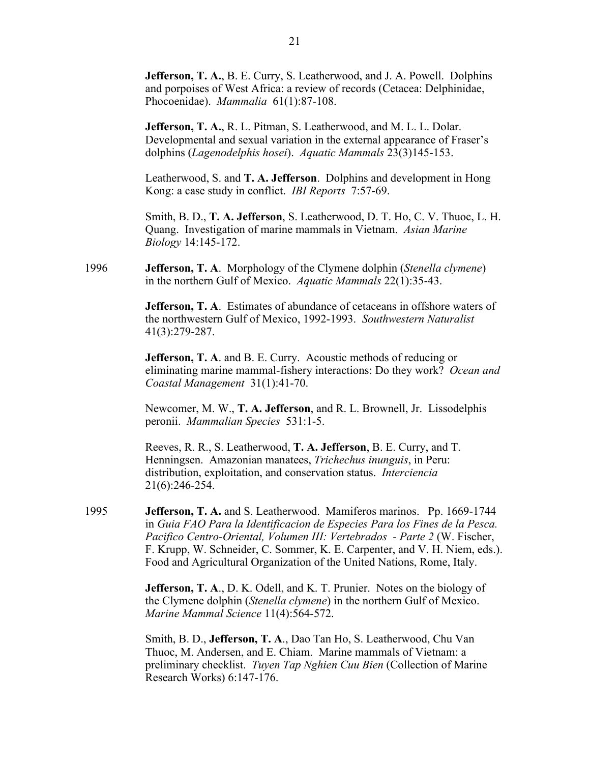**Jefferson, T. A., B. E. Curry, S. Leatherwood, and J. A. Powell. Dolphins** and porpoises of West Africa: a review of records (Cetacea: Delphinidae, Phocoenidae). *Mammalia* 61(1):87-108.

**Jefferson, T. A.**, R. L. Pitman, S. Leatherwood, and M. L. L. Dolar. Developmental and sexual variation in the external appearance of Fraser's dolphins (*Lagenodelphis hosei*). *Aquatic Mammals* 23(3)145-153.

Leatherwood, S. and **T. A. Jefferson**. Dolphins and development in Hong Kong: a case study in conflict. *IBI Reports* 7:57-69.

Smith, B. D., **T. A. Jefferson**, S. Leatherwood, D. T. Ho, C. V. Thuoc, L. H. Quang. Investigation of marine mammals in Vietnam. *Asian Marine Biology* 14:145-172.

1996 **Jefferson, T. A**. Morphology of the Clymene dolphin (*Stenella clymene*) in the northern Gulf of Mexico. *Aquatic Mammals* 22(1):35-43.

> **Jefferson, T. A.** Estimates of abundance of cetaceans in offshore waters of the northwestern Gulf of Mexico, 1992-1993. *Southwestern Naturalist* 41(3):279-287.

**Jefferson, T. A**. and B. E. Curry. Acoustic methods of reducing or eliminating marine mammal-fishery interactions: Do they work? *Ocean and Coastal Management* 31(1):41-70.

Newcomer, M. W., **T. A. Jefferson**, and R. L. Brownell, Jr. Lissodelphis peronii. *Mammalian Species* 531:1-5.

Reeves, R. R., S. Leatherwood, **T. A. Jefferson**, B. E. Curry, and T. Henningsen. Amazonian manatees, *Trichechus inunguis*, in Peru: distribution, exploitation, and conservation status. *Interciencia* 21(6):246-254.

1995 **Jefferson, T. A.** and S. Leatherwood. Mamiferos marinos. Pp. 1669-1744 in *Guia FAO Para la Identificacion de Especies Para los Fines de la Pesca. Pacifico Centro-Oriental, Volumen III: Vertebrados - Parte 2* (W. Fischer, F. Krupp, W. Schneider, C. Sommer, K. E. Carpenter, and V. H. Niem, eds.). Food and Agricultural Organization of the United Nations, Rome, Italy.

> **Jefferson, T. A., D. K. Odell, and K. T. Prunier.** Notes on the biology of the Clymene dolphin (*Stenella clymene*) in the northern Gulf of Mexico. *Marine Mammal Science* 11(4):564-572.

> Smith, B. D., **Jefferson, T. A**., Dao Tan Ho, S. Leatherwood, Chu Van Thuoc, M. Andersen, and E. Chiam. Marine mammals of Vietnam: a preliminary checklist. *Tuyen Tap Nghien Cuu Bien* (Collection of Marine Research Works) 6:147-176.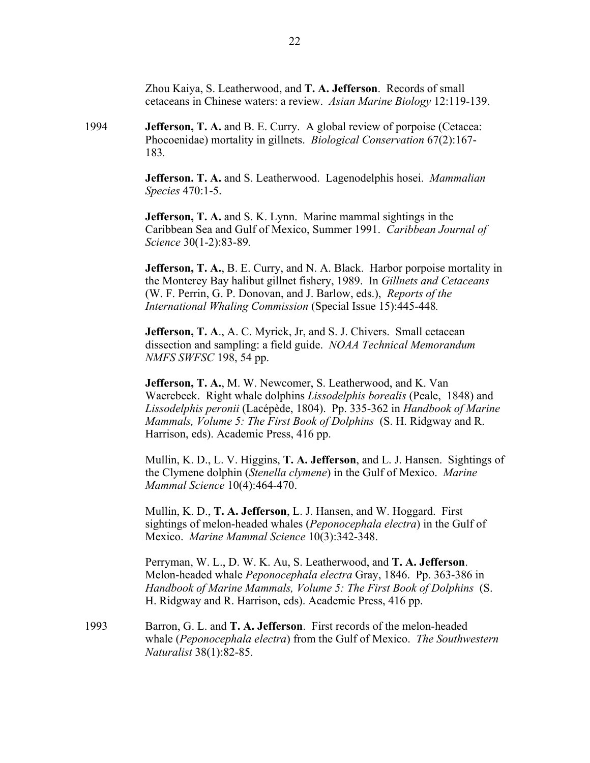Zhou Kaiya, S. Leatherwood, and **T. A. Jefferson**. Records of small cetaceans in Chinese waters: a review. *Asian Marine Biology* 12:119-139.

1994 **Jefferson, T. A.** and B. E. Curry. A global review of porpoise (Cetacea: Phocoenidae) mortality in gillnets. *Biological Conservation* 67(2):167- 183*.*

> **Jefferson. T. A.** and S. Leatherwood. Lagenodelphis hosei. *Mammalian Species* 470:1-5.

> **Jefferson, T. A.** and S. K. Lynn. Marine mammal sightings in the Caribbean Sea and Gulf of Mexico, Summer 1991. *Caribbean Journal of Science* 30(1-2):83-89*.*

**Jefferson, T. A., B. E. Curry, and N. A. Black. Harbor porpoise mortality in** the Monterey Bay halibut gillnet fishery, 1989. In *Gillnets and Cetaceans* (W. F. Perrin, G. P. Donovan, and J. Barlow, eds.), *Reports of the International Whaling Commission* (Special Issue 15):445-448*.*

**Jefferson, T. A., A. C. Myrick, Jr. and S. J. Chivers. Small cetacean** dissection and sampling: a field guide. *NOAA Technical Memorandum NMFS SWFSC* 198, 54 pp.

**Jefferson, T. A.**, M. W. Newcomer, S. Leatherwood, and K. Van Waerebeek. Right whale dolphins *Lissodelphis borealis* (Peale, 1848) and *Lissodelphis peronii* (Lacépède, 1804). Pp. 335-362 in *Handbook of Marine Mammals, Volume 5: The First Book of Dolphins* (S. H. Ridgway and R. Harrison, eds). Academic Press, 416 pp.

Mullin, K. D., L. V. Higgins, **T. A. Jefferson**, and L. J. Hansen. Sightings of the Clymene dolphin (*Stenella clymene*) in the Gulf of Mexico. *Marine Mammal Science* 10(4):464-470.

Mullin, K. D., **T. A. Jefferson**, L. J. Hansen, and W. Hoggard. First sightings of melon-headed whales (*Peponocephala electra*) in the Gulf of Mexico. *Marine Mammal Science* 10(3):342-348.

Perryman, W. L., D. W. K. Au, S. Leatherwood, and **T. A. Jefferson**. Melon-headed whale *Peponocephala electra* Gray, 1846. Pp. 363-386 in *Handbook of Marine Mammals, Volume 5: The First Book of Dolphins* (S. H. Ridgway and R. Harrison, eds). Academic Press, 416 pp.

1993 Barron, G. L. and **T. A. Jefferson**. First records of the melon-headed whale (*Peponocephala electra*) from the Gulf of Mexico. *The Southwestern Naturalist* 38(1):82-85.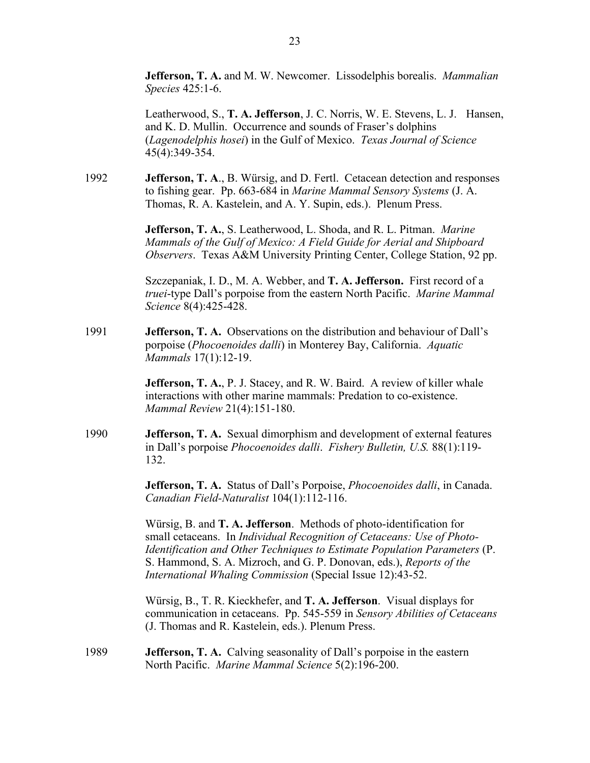**Jefferson, T. A.** and M. W. Newcomer. Lissodelphis borealis. *Mammalian Species* 425:1-6.

Leatherwood, S., **T. A. Jefferson**, J. C. Norris, W. E. Stevens, L. J. Hansen, and K. D. Mullin. Occurrence and sounds of Fraser's dolphins (*Lagenodelphis hosei*) in the Gulf of Mexico. *Texas Journal of Science* 45(4):349-354.

1992 **Jefferson, T. A**., B. Würsig, and D. Fertl. Cetacean detection and responses to fishing gear. Pp. 663-684 in *Marine Mammal Sensory Systems* (J. A. Thomas, R. A. Kastelein, and A. Y. Supin, eds.). Plenum Press.

> **Jefferson, T. A.**, S. Leatherwood, L. Shoda, and R. L. Pitman. *Marine Mammals of the Gulf of Mexico: A Field Guide for Aerial and Shipboard Observers*. Texas A&M University Printing Center, College Station, 92 pp.

> Szczepaniak, I. D., M. A. Webber, and **T. A. Jefferson.** First record of a *truei*-type Dall's porpoise from the eastern North Pacific. *Marine Mammal Science* 8(4):425-428.

1991 **Jefferson, T. A.** Observations on the distribution and behaviour of Dall's porpoise (*Phocoenoides dalli*) in Monterey Bay, California. *Aquatic Mammals* 17(1):12-19.

> **Jefferson, T. A., P. J. Stacey, and R. W. Baird. A review of killer whale** interactions with other marine mammals: Predation to co-existence. *Mammal Review* 21(4):151-180.

1990 **Jefferson, T. A.** Sexual dimorphism and development of external features in Dall's porpoise *Phocoenoides dalli*. *Fishery Bulletin, U.S.* 88(1):119- 132.

> **Jefferson, T. A.** Status of Dall's Porpoise, *Phocoenoides dalli*, in Canada. *Canadian Field-Naturalist* 104(1):112-116.

> Würsig, B. and **T. A. Jefferson**. Methods of photo-identification for small cetaceans. In *Individual Recognition of Cetaceans: Use of Photo-Identification and Other Techniques to Estimate Population Parameters* (P. S. Hammond, S. A. Mizroch, and G. P. Donovan, eds.), *Reports of the International Whaling Commission* (Special Issue 12):43-52.

> Würsig, B., T. R. Kieckhefer, and **T. A. Jefferson**. Visual displays for communication in cetaceans. Pp. 545-559 in *Sensory Abilities of Cetaceans* (J. Thomas and R. Kastelein, eds.). Plenum Press.

1989 **Jefferson, T. A.** Calving seasonality of Dall's porpoise in the eastern North Pacific. *Marine Mammal Science* 5(2):196-200.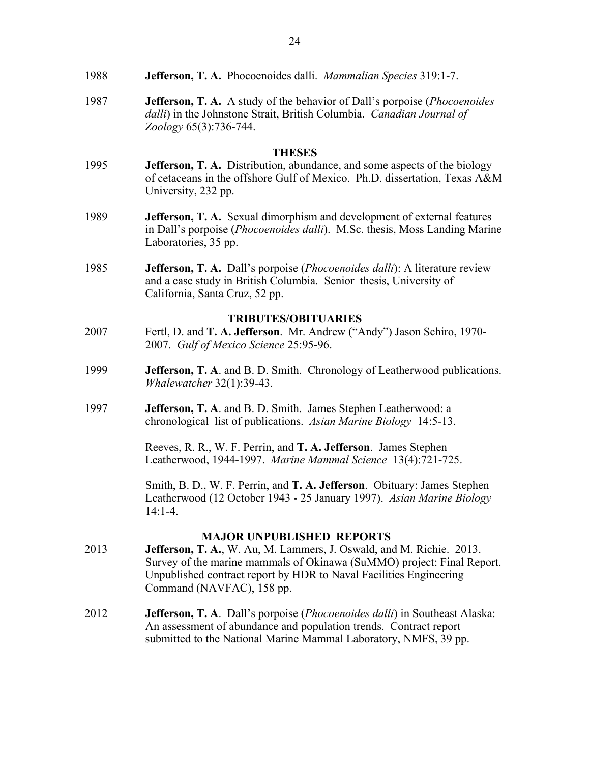| 1988 |  |  | <b>Jefferson, T. A.</b> Phocoenoides dalli. <i>Mammalian Species</i> 319:1-7. |
|------|--|--|-------------------------------------------------------------------------------|
|------|--|--|-------------------------------------------------------------------------------|

1987 **Jefferson, T. A.** A study of the behavior of Dall's porpoise (*Phocoenoides dalli*) in the Johnstone Strait, British Columbia. *Canadian Journal of Zoology* 65(3):736-744.

### **THESES**

- 1995 **Jefferson, T. A.** Distribution, abundance, and some aspects of the biology of cetaceans in the offshore Gulf of Mexico. Ph.D. dissertation, Texas A&M University, 232 pp.
- 1989 **Jefferson, T. A.** Sexual dimorphism and development of external features in Dall's porpoise (*Phocoenoides dalli*). M.Sc. thesis, Moss Landing Marine Laboratories, 35 pp.
- 1985 **Jefferson, T. A.** Dall's porpoise (*Phocoenoides dalli*): A literature review and a case study in British Columbia. Senior thesis, University of California, Santa Cruz, 52 pp.

## **TRIBUTES/OBITUARIES**

- 2007 Fertl, D. and **T. A. Jefferson**. Mr. Andrew ("Andy") Jason Schiro, 1970- 2007. *Gulf of Mexico Science* 25:95-96.
- 1999 **Jefferson, T. A**. and B. D. Smith. Chronology of Leatherwood publications. *Whalewatcher* 32(1):39-43.
- 1997 **Jefferson, T. A**. and B. D. Smith. James Stephen Leatherwood: a chronological list of publications. *Asian Marine Biology* 14:5-13.

Reeves, R. R., W. F. Perrin, and **T. A. Jefferson**. James Stephen Leatherwood, 1944-1997. *Marine Mammal Science* 13(4):721-725.

Smith, B. D., W. F. Perrin, and **T. A. Jefferson**. Obituary: James Stephen Leatherwood (12 October 1943 - 25 January 1997). *Asian Marine Biology* 14:1-4.

# **MAJOR UNPUBLISHED REPORTS**

- 2013 **Jefferson, T. A.**, W. Au, M. Lammers, J. Oswald, and M. Richie. 2013. Survey of the marine mammals of Okinawa (SuMMO) project: Final Report. Unpublished contract report by HDR to Naval Facilities Engineering Command (NAVFAC), 158 pp.
- 2012 **Jefferson, T. A**. Dall's porpoise (*Phocoenoides dalli*) in Southeast Alaska: An assessment of abundance and population trends. Contract report submitted to the National Marine Mammal Laboratory, NMFS, 39 pp.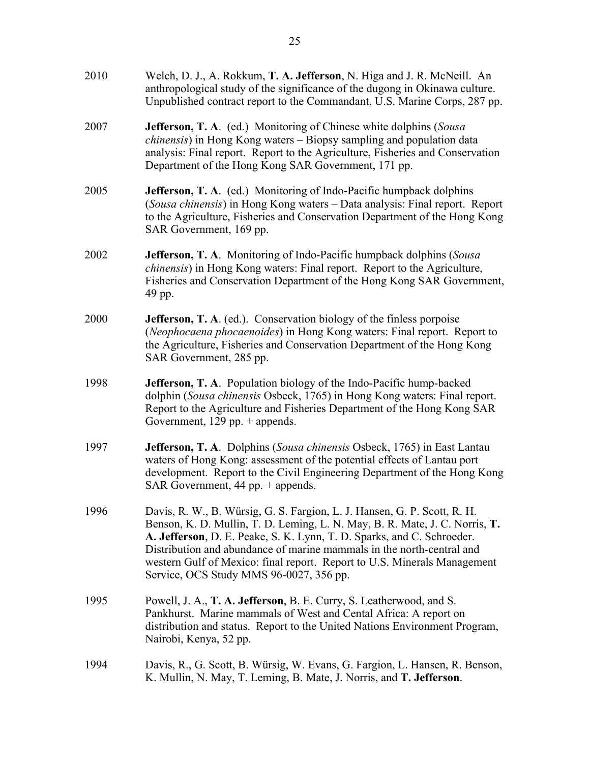| 2010 | Welch, D. J., A. Rokkum, T. A. Jefferson, N. Higa and J. R. McNeill. An<br>anthropological study of the significance of the dugong in Okinawa culture.<br>Unpublished contract report to the Commandant, U.S. Marine Corps, 287 pp.                                                                                                                                                                                               |
|------|-----------------------------------------------------------------------------------------------------------------------------------------------------------------------------------------------------------------------------------------------------------------------------------------------------------------------------------------------------------------------------------------------------------------------------------|
| 2007 | <b>Jefferson, T. A.</b> (ed.) Monitoring of Chinese white dolphins (Sousa<br>chinensis) in Hong Kong waters - Biopsy sampling and population data<br>analysis: Final report. Report to the Agriculture, Fisheries and Conservation<br>Department of the Hong Kong SAR Government, 171 pp.                                                                                                                                         |
| 2005 | <b>Jefferson, T. A.</b> (ed.) Monitoring of Indo-Pacific humpback dolphins<br>(Sousa chinensis) in Hong Kong waters - Data analysis: Final report. Report<br>to the Agriculture, Fisheries and Conservation Department of the Hong Kong<br>SAR Government, 169 pp.                                                                                                                                                                |
| 2002 | Jefferson, T. A. Monitoring of Indo-Pacific humpback dolphins (Sousa<br><i>chinensis</i> ) in Hong Kong waters: Final report. Report to the Agriculture,<br>Fisheries and Conservation Department of the Hong Kong SAR Government,<br>49 pp.                                                                                                                                                                                      |
| 2000 | <b>Jefferson, T. A.</b> (ed.). Conservation biology of the finless porpoise<br>(Neophocaena phocaenoides) in Hong Kong waters: Final report. Report to<br>the Agriculture, Fisheries and Conservation Department of the Hong Kong<br>SAR Government, 285 pp.                                                                                                                                                                      |
| 1998 | <b>Jefferson, T. A.</b> Population biology of the Indo-Pacific hump-backed<br>dolphin (Sousa chinensis Osbeck, 1765) in Hong Kong waters: Final report.<br>Report to the Agriculture and Fisheries Department of the Hong Kong SAR<br>Government, $129$ pp. $+$ appends.                                                                                                                                                          |
| 1997 | <b>Jefferson, T. A.</b> Dolphins (Sousa chinensis Osbeck, 1765) in East Lantau<br>waters of Hong Kong: assessment of the potential effects of Lantau port<br>development. Report to the Civil Engineering Department of the Hong Kong<br>SAR Government, 44 pp. + appends.                                                                                                                                                        |
| 1996 | Davis, R. W., B. Würsig, G. S. Fargion, L. J. Hansen, G. P. Scott, R. H.<br>Benson, K. D. Mullin, T. D. Leming, L. N. May, B. R. Mate, J. C. Norris, T.<br>A. Jefferson, D. E. Peake, S. K. Lynn, T. D. Sparks, and C. Schroeder.<br>Distribution and abundance of marine mammals in the north-central and<br>western Gulf of Mexico: final report. Report to U.S. Minerals Management<br>Service, OCS Study MMS 96-0027, 356 pp. |
| 1995 | Powell, J. A., T. A. Jefferson, B. E. Curry, S. Leatherwood, and S.<br>Pankhurst. Marine mammals of West and Cental Africa: A report on<br>distribution and status. Report to the United Nations Environment Program,<br>Nairobi, Kenya, 52 pp.                                                                                                                                                                                   |
| 1994 | Davis, R., G. Scott, B. Würsig, W. Evans, G. Fargion, L. Hansen, R. Benson,<br>K. Mullin, N. May, T. Leming, B. Mate, J. Norris, and T. Jefferson.                                                                                                                                                                                                                                                                                |